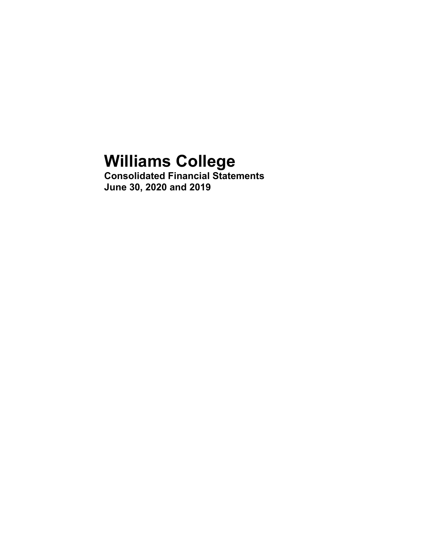# **Williams College**

**Consolidated Financial Statements June 30, 2020 and 2019**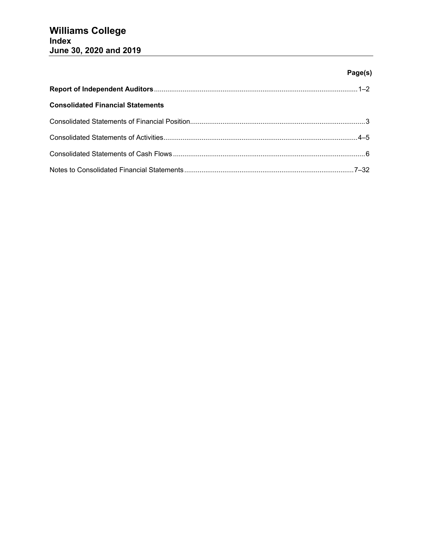# **Page(s)**

| <b>Consolidated Financial Statements</b> |  |
|------------------------------------------|--|
|                                          |  |
|                                          |  |
|                                          |  |
|                                          |  |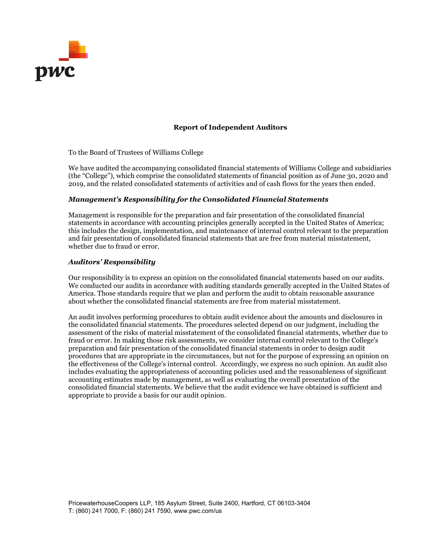

## **Report of Independent Auditors**

To the Board of Trustees of Williams College

We have audited the accompanying consolidated financial statements of Williams College and subsidiaries (the "College"), which comprise the consolidated statements of financial position as of June 30, 2020 and 2019, and the related consolidated statements of activities and of cash flows for the years then ended.

## *Management's Responsibility for the Consolidated Financial Statements*

Management is responsible for the preparation and fair presentation of the consolidated financial statements in accordance with accounting principles generally accepted in the United States of America; this includes the design, implementation, and maintenance of internal control relevant to the preparation and fair presentation of consolidated financial statements that are free from material misstatement, whether due to fraud or error.

## *Auditors' Responsibility*

Our responsibility is to express an opinion on the consolidated financial statements based on our audits. We conducted our audits in accordance with auditing standards generally accepted in the United States of America. Those standards require that we plan and perform the audit to obtain reasonable assurance about whether the consolidated financial statements are free from material misstatement.

An audit involves performing procedures to obtain audit evidence about the amounts and disclosures in the consolidated financial statements. The procedures selected depend on our judgment, including the assessment of the risks of material misstatement of the consolidated financial statements, whether due to fraud or error. In making those risk assessments, we consider internal control relevant to the College's preparation and fair presentation of the consolidated financial statements in order to design audit procedures that are appropriate in the circumstances, but not for the purpose of expressing an opinion on the effectiveness of the College's internal control. Accordingly, we express no such opinion. An audit also includes evaluating the appropriateness of accounting policies used and the reasonableness of significant accounting estimates made by management, as well as evaluating the overall presentation of the consolidated financial statements. We believe that the audit evidence we have obtained is sufficient and appropriate to provide a basis for our audit opinion.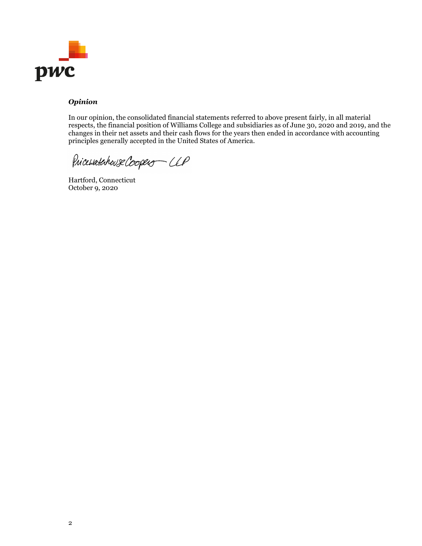

## *Opinion*

In our opinion, the consolidated financial statements referred to above present fairly, in all material respects, the financial position of Williams College and subsidiaries as of June 30, 2020 and 2019, and the changes in their net assets and their cash flows for the years then ended in accordance with accounting principles generally accepted in the United States of America.

Pricevatebouse Coopers - CLP

Hartford, Connecticut October 9, 2020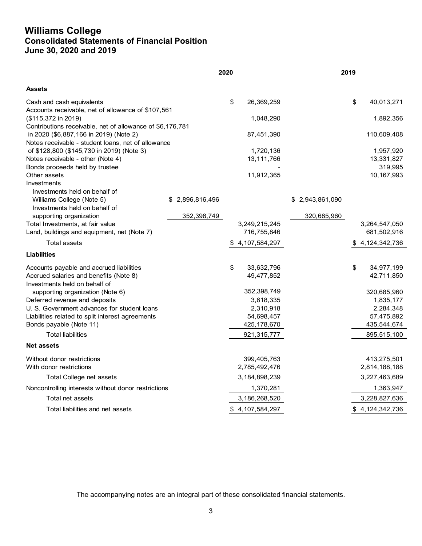# **Williams College Consolidated Statements of Financial Position June 30, 2020 and 2019**

|                                                                                                     |                    | 2020 |                  |                    | 2019 |                       |
|-----------------------------------------------------------------------------------------------------|--------------------|------|------------------|--------------------|------|-----------------------|
| Assets                                                                                              |                    |      |                  |                    |      |                       |
| Cash and cash equivalents<br>Accounts receivable, net of allowance of \$107,561                     |                    | \$   | 26,369,259       |                    | \$   | 40,013,271            |
| (\$115,372 in 2019)                                                                                 |                    |      | 1,048,290        |                    |      | 1,892,356             |
| Contributions receivable, net of allowance of \$6,176,781<br>in 2020 (\$6,887,166 in 2019) (Note 2) |                    |      | 87,451,390       |                    |      | 110,609,408           |
| Notes receivable - student loans, net of allowance                                                  |                    |      |                  |                    |      |                       |
| of \$128,800 (\$145,730 in 2019) (Note 3)                                                           |                    |      | 1,720,136        |                    |      | 1,957,920             |
| Notes receivable - other (Note 4)<br>Bonds proceeds held by trustee                                 |                    |      | 13,111,766       |                    |      | 13,331,827<br>319,995 |
| Other assets                                                                                        |                    |      | 11,912,365       |                    |      | 10,167,993            |
| Investments                                                                                         |                    |      |                  |                    |      |                       |
| Investments held on behalf of                                                                       |                    |      |                  |                    |      |                       |
| Williams College (Note 5)                                                                           | 2,896,816,496<br>S |      |                  | 2,943,861,090<br>S |      |                       |
| Investments held on behalf of                                                                       |                    |      |                  |                    |      |                       |
| supporting organization                                                                             | 352,398,749        |      |                  | 320,685,960        |      |                       |
| Total Investments, at fair value                                                                    |                    |      | 3,249,215,245    |                    |      | 3,264,547,050         |
| Land, buildings and equipment, net (Note 7)                                                         |                    |      | 716,755,846      |                    |      | 681,502,916           |
| <b>Total assets</b>                                                                                 |                    |      | \$4,107,584,297  |                    |      | \$4,124,342,736       |
| <b>Liabilities</b>                                                                                  |                    |      |                  |                    |      |                       |
| Accounts payable and accrued liabilities                                                            |                    | \$   | 33,632,796       |                    | \$   | 34,977,199            |
| Accrued salaries and benefits (Note 8)                                                              |                    |      | 49,477,852       |                    |      | 42,711,850            |
| Investments held on behalf of                                                                       |                    |      |                  |                    |      |                       |
| supporting organization (Note 6)                                                                    |                    |      | 352,398,749      |                    |      | 320,685,960           |
| Deferred revenue and deposits                                                                       |                    |      | 3,618,335        |                    |      | 1,835,177             |
| U. S. Government advances for student loans                                                         |                    |      | 2,310,918        |                    |      | 2,284,348             |
| Liabilities related to split interest agreements                                                    |                    |      | 54,698,457       |                    |      | 57,475,892            |
| Bonds payable (Note 11)                                                                             |                    |      | 425,178,670      |                    |      | 435,544,674           |
| <b>Total liabilities</b>                                                                            |                    |      | 921,315,777      |                    |      | 895,515,100           |
| <b>Net assets</b>                                                                                   |                    |      |                  |                    |      |                       |
| Without donor restrictions                                                                          |                    |      | 399,405,763      |                    |      | 413,275,501           |
| With donor restrictions                                                                             |                    |      | 2,785,492,476    |                    |      | 2,814,188,188         |
| Total College net assets                                                                            |                    |      | 3, 184, 898, 239 |                    |      | 3,227,463,689         |
| Noncontrolling interests without donor restrictions                                                 |                    |      | 1,370,281        |                    |      | 1,363,947             |
| Total net assets                                                                                    |                    |      | 3,186,268,520    |                    |      | 3,228,827,636         |
| Total liabilities and net assets                                                                    |                    |      | \$4,107,584,297  |                    |      | \$4,124,342,736       |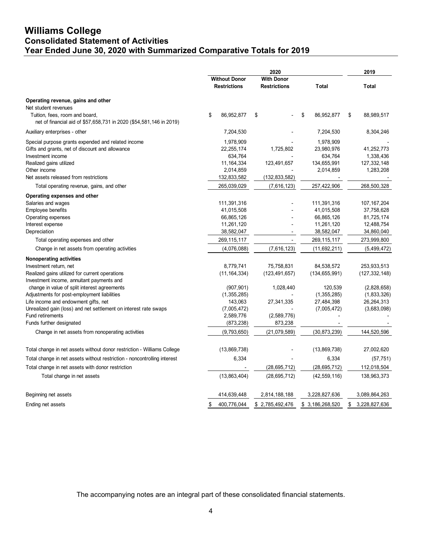# **Williams College Consolidated Statement of Activities Year Ended June 30, 2020 with Summarized Comparative Totals for 2019**

|                                                                                                       |                                             | 2020                                     |                        |                            |  |  |
|-------------------------------------------------------------------------------------------------------|---------------------------------------------|------------------------------------------|------------------------|----------------------------|--|--|
|                                                                                                       | <b>Without Donor</b><br><b>Restrictions</b> | <b>With Donor</b><br><b>Restrictions</b> | <b>Total</b>           | <b>Total</b>               |  |  |
| Operating revenue, gains and other                                                                    |                                             |                                          |                        |                            |  |  |
| Net student revenues                                                                                  |                                             |                                          |                        |                            |  |  |
| Tuition, fees, room and board,<br>net of financial aid of \$57,658,731 in 2020 (\$54,581,146 in 2019) | \$<br>86,952,877                            | \$                                       | \$<br>86,952,877       | \$<br>88,989,517           |  |  |
| Auxiliary enterprises - other                                                                         | 7,204,530                                   |                                          | 7,204,530              | 8,304,246                  |  |  |
| Special purpose grants expended and related income                                                    | 1,978,909                                   |                                          | 1,978,909              |                            |  |  |
| Gifts and grants, net of discount and allowance                                                       | 22, 255, 174                                | 1,725,802                                | 23,980,976             | 41,252,773                 |  |  |
| Investment income                                                                                     | 634,764                                     |                                          | 634,764                | 1,338,436                  |  |  |
| Realized gains utilized                                                                               | 11, 164, 334                                | 123,491,657                              | 134,655,991            | 127,332,148                |  |  |
| Other income                                                                                          | 2,014,859                                   |                                          | 2,014,859              | 1,283,208                  |  |  |
| Net assets released from restrictions                                                                 | 132,833,582                                 | (132,833,582)                            |                        |                            |  |  |
| Total operating revenue, gains, and other                                                             | 265,039,029                                 | (7,616,123)                              | 257,422,906            | 268,500,328                |  |  |
| Operating expenses and other                                                                          |                                             |                                          |                        |                            |  |  |
| Salaries and wages                                                                                    | 111,391,316                                 |                                          | 111,391,316            | 107, 167, 204              |  |  |
| Employee benefits                                                                                     | 41,015,508                                  |                                          | 41,015,508             | 37,758,628                 |  |  |
| Operating expenses                                                                                    | 66,865,126                                  |                                          | 66,865,126             | 81,725,174                 |  |  |
| Interest expense                                                                                      | 11,261,120                                  |                                          | 11,261,120             | 12,488,754                 |  |  |
| Depreciation                                                                                          | 38,582,047                                  |                                          | 38,582,047             | 34,860,040                 |  |  |
| Total operating expenses and other                                                                    | 269, 115, 117                               |                                          | 269,115,117            | 273,999,800                |  |  |
| Change in net assets from operating activities                                                        | (4,076,088)                                 | (7,616,123)                              | (11,692,211)           | (5,499,472)                |  |  |
| <b>Nonoperating activities</b>                                                                        |                                             |                                          |                        |                            |  |  |
| Investment return, net                                                                                | 8,779,741                                   | 75,758,831                               | 84,538,572             | 253,933,513                |  |  |
| Realized gains utilized for current operations                                                        | (11, 164, 334)                              | (123, 491, 657)                          | (134, 655, 991)        | (127, 332, 148)            |  |  |
| Investment income, annuitant payments and                                                             |                                             |                                          |                        |                            |  |  |
| change in value of split interest agreements<br>Adjustments for post-employment liabilities           | (907, 901)<br>(1,355,285)                   | 1,028,440                                | 120,539<br>(1,355,285) | (2,828,658)<br>(1,833,326) |  |  |
| Life income and endowment gifts, net                                                                  | 143,063                                     | 27,341,335                               | 27,484,398             | 26,264,313                 |  |  |
| Unrealized gain (loss) and net settlement on interest rate swaps                                      | (7,005,472)                                 |                                          | (7,005,472)            | (3,683,098)                |  |  |
| <b>Fund retirements</b>                                                                               | 2,589,776                                   | (2,589,776)                              |                        |                            |  |  |
| Funds further designated                                                                              | (873,238)                                   | 873,238                                  |                        |                            |  |  |
| Change in net assets from nonoperating activities                                                     | (9,793,650)                                 | (21,079,589)                             | (30,873,239)           | 144,520,596                |  |  |
| Total change in net assets without donor restriction - Williams College                               | (13,869,738)                                |                                          | (13,869,738)           | 27,002,620                 |  |  |
| Total change in net assets without restriction - noncontrolling interest                              | 6,334                                       |                                          | 6,334                  | (57, 751)                  |  |  |
| Total change in net assets with donor restriction                                                     |                                             | (28, 695, 712)                           | (28, 695, 712)         | 112,018,504                |  |  |
| Total change in net assets                                                                            | (13,863,404)                                | (28, 695, 712)                           | (42, 559, 116)         | 138,963,373                |  |  |
|                                                                                                       |                                             |                                          |                        |                            |  |  |
| Beginning net assets                                                                                  | 414,639,448                                 | 2,814,188,188                            | 3,228,827,636          | 3,089,864,263              |  |  |
| Ending net assets                                                                                     | \$<br>400,776,044                           | \$2,785,492,476                          | \$ 3,186,268,520       | \$<br>3,228,827,636        |  |  |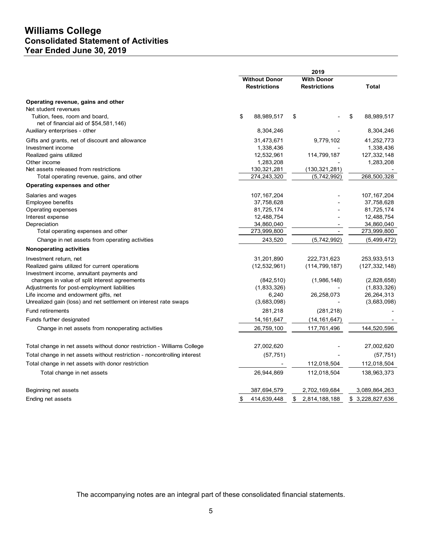# **Williams College Consolidated Statement of Activities Year Ended June 30, 2019**

|                                                                          | 2019 |                                             |    |                                          |    |                          |
|--------------------------------------------------------------------------|------|---------------------------------------------|----|------------------------------------------|----|--------------------------|
|                                                                          |      | <b>Without Donor</b><br><b>Restrictions</b> |    | <b>With Donor</b><br><b>Restrictions</b> |    | Total                    |
| Operating revenue, gains and other                                       |      |                                             |    |                                          |    |                          |
| Net student revenues                                                     |      |                                             |    |                                          |    |                          |
| Tuition, fees, room and board,                                           | \$   | 88,989,517                                  | \$ |                                          | \$ | 88,989,517               |
| net of financial aid of $$54,581,146$ )<br>Auxiliary enterprises - other |      | 8,304,246                                   |    |                                          |    | 8,304,246                |
|                                                                          |      |                                             |    |                                          |    |                          |
| Gifts and grants, net of discount and allowance                          |      | 31,473,671                                  |    | 9,779,102                                |    | 41,252,773               |
| Investment income                                                        |      | 1,338,436                                   |    |                                          |    | 1,338,436                |
| Realized gains utilized<br>Other income                                  |      | 12,532,961<br>1,283,208                     |    | 114,799,187                              |    | 127,332,148<br>1,283,208 |
| Net assets released from restrictions                                    |      | 130,321,281                                 |    | (130, 321, 281)                          |    |                          |
| Total operating revenue, gains, and other                                |      | 274,243,320                                 |    | (5,742,992)                              |    | 268,500,328              |
| Operating expenses and other                                             |      |                                             |    |                                          |    |                          |
| Salaries and wages                                                       |      | 107, 167, 204                               |    |                                          |    | 107, 167, 204            |
| <b>Employee benefits</b>                                                 |      | 37,758,628                                  |    |                                          |    | 37,758,628               |
| Operating expenses                                                       |      | 81,725,174                                  |    |                                          |    | 81,725,174               |
| Interest expense                                                         |      | 12,488,754                                  |    |                                          |    | 12,488,754               |
| Depreciation                                                             |      | 34,860,040                                  |    |                                          |    | 34,860,040               |
| Total operating expenses and other                                       |      | 273,999,800                                 |    | $\overline{\phantom{a}}$                 |    | 273,999,800              |
| Change in net assets from operating activities                           |      | 243,520                                     |    | (5,742,992)                              |    | (5,499,472)              |
| <b>Nonoperating activities</b>                                           |      |                                             |    |                                          |    |                          |
| Investment return, net                                                   |      | 31,201,890                                  |    | 222,731,623                              |    | 253,933,513              |
| Realized gains utilized for current operations                           |      | (12, 532, 961)                              |    | (114, 799, 187)                          |    | (127, 332, 148)          |
| Investment income, annuitant payments and                                |      |                                             |    |                                          |    |                          |
| changes in value of split interest agreements                            |      | (842, 510)                                  |    | (1,986,148)                              |    | (2,828,658)              |
| Adjustments for post-employment liabilities                              |      | (1,833,326)                                 |    |                                          |    | (1,833,326)              |
| Life income and endowment gifts, net                                     |      | 6,240                                       |    | 26,258,073                               |    | 26,264,313               |
| Unrealized gain (loss) and net settlement on interest rate swaps         |      | (3,683,098)                                 |    |                                          |    | (3,683,098)              |
| <b>Fund retirements</b>                                                  |      | 281,218                                     |    | (281, 218)                               |    |                          |
| Funds further designated                                                 |      | 14, 161, 647                                |    | (14, 161, 647)                           |    |                          |
| Change in net assets from nonoperating activities                        |      | 26,759,100                                  |    | 117,761,496                              |    | 144,520,596              |
| Total change in net assets without donor restriction - Williams College  |      | 27,002,620                                  |    |                                          |    | 27,002,620               |
| Total change in net assets without restriction - noncontrolling interest |      | (57, 751)                                   |    |                                          |    | (57, 751)                |
| Total change in net assets with donor restriction                        |      |                                             |    | 112,018,504                              |    | 112,018,504              |
| Total change in net assets                                               |      | 26,944,869                                  |    | 112,018,504                              |    | 138,963,373              |
|                                                                          |      |                                             |    |                                          |    |                          |
| Beginning net assets                                                     |      | 387,694,579                                 |    | 2,702,169,684                            |    | 3,089,864,263            |
| Ending net assets                                                        | \$   | 414,639,448                                 | \$ | 2,814,188,188                            |    | \$ 3,228,827,636         |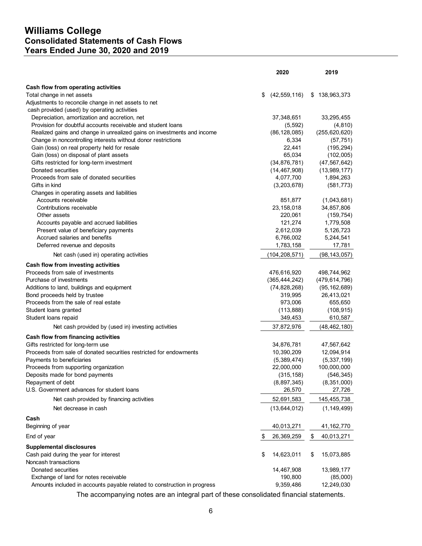# **Williams College Consolidated Statements of Cash Flows Years Ended June 30, 2020 and 2019**

|                                                                          | 2020                 | 2019              |
|--------------------------------------------------------------------------|----------------------|-------------------|
| Cash flow from operating activities                                      |                      |                   |
| Total change in net assets                                               | \$<br>(42, 559, 116) | 138,963,373<br>\$ |
| Adjustments to reconcile change in net assets to net                     |                      |                   |
| cash provided (used) by operating activities                             |                      |                   |
| Depreciation, amortization and accretion, net                            | 37,348,651           | 33,295,455        |
| Provision for doubtful accounts receivable and student loans             | (5, 592)             | (4, 810)          |
| Realized gains and change in unrealized gains on investments and income  | (86, 128, 085)       | (255, 620, 620)   |
| Change in noncontrolling interests without donor restrictions            | 6,334                | (57, 751)         |
| Gain (loss) on real property held for resale                             | 22,441               | (195, 294)        |
| Gain (loss) on disposal of plant assets                                  | 65,034               | (102,005)         |
| Gifts restricted for long-term investment                                | (34, 876, 781)       | (47, 567, 642)    |
| Donated securities                                                       | (14, 467, 908)       | (13,989,177)      |
| Proceeds from sale of donated securities                                 | 4,077,700            | 1,894,263         |
| Gifts in kind                                                            | (3,203,678)          | (581, 773)        |
| Changes in operating assets and liabilities                              |                      |                   |
| Accounts receivable                                                      | 851,877              | (1,043,681)       |
| Contributions receivable                                                 | 23,158,018           | 34,857,806        |
| Other assets                                                             | 220,061              | (159, 754)        |
| Accounts payable and accrued liabilities                                 | 121,274              | 1,779,508         |
| Present value of beneficiary payments                                    | 2,612,039            | 5,126,723         |
| Accrued salaries and benefits                                            | 6,766,002            | 5,244,541         |
| Deferred revenue and deposits                                            | 1,783,158            | 17,781            |
| Net cash (used in) operating activities                                  | (104,208,571)        | (98, 143, 057)    |
| Cash flow from investing activities                                      |                      |                   |
| Proceeds from sale of investments                                        | 476,616,920          | 498,744,962       |
| Purchase of investments                                                  | (365, 444, 242)      | (479, 614, 796)   |
| Additions to land, buildings and equipment                               | (74, 828, 268)       | (95, 162, 689)    |
| Bond proceeds held by trustee                                            | 319,995              | 26,413,021        |
| Proceeds from the sale of real estate                                    | 973,006              | 655,650           |
| Student loans granted                                                    | (113, 888)           | (108, 915)        |
| Student loans repaid                                                     | 349,453              | 610,587           |
| Net cash provided by (used in) investing activities                      | 37,872,976           | (48,462,180)      |
| Cash flow from financing activities                                      |                      |                   |
| Gifts restricted for long-term use                                       | 34,876,781           | 47,567,642        |
| Proceeds from sale of donated securities restricted for endowments       | 10,390,209           | 12,094,914        |
| Payments to beneficiaries                                                | (5,389,474)          | (5,337,199)       |
| Proceeds from supporting organization                                    | 22,000,000           | 100,000,000       |
| Deposits made for bond payments                                          | (315, 158)           | (546, 345)        |
| Repayment of debt                                                        | (8,897,345)          | (8,351,000)       |
| U.S. Government advances for student loans                               | 26,570               | 27,726            |
| Net cash provided by financing activities                                | 52,691,583           | 145,455,738       |
| Net decrease in cash                                                     | (13, 644, 012)       | (1, 149, 499)     |
| Cash<br>Beginning of year                                                | 40,013,271           | 41, 162, 770      |
| End of year                                                              | \$<br>26,369,259     | \$<br>40,013,271  |
| <b>Supplemental disclosures</b>                                          |                      |                   |
| Cash paid during the year for interest                                   | \$<br>14,623,011     | 15,073,885<br>\$  |
| Noncash transactions                                                     |                      |                   |
| Donated securities                                                       | 14,467,908           | 13,989,177        |
| Exchange of land for notes receivable                                    | 190,800              | (85,000)          |
| Amounts included in accounts payable related to construction in progress | 9,359,486            | 12,249,030        |
|                                                                          |                      |                   |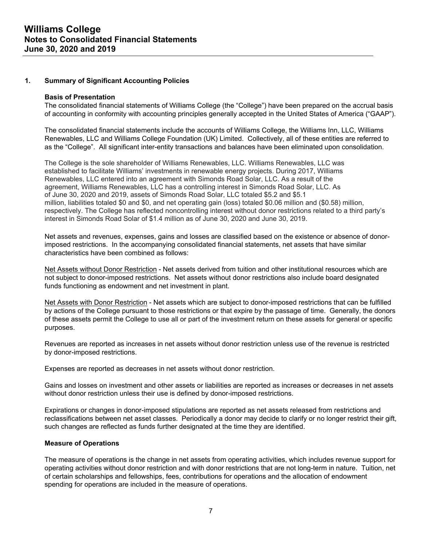## **1. Summary of Significant Accounting Policies**

#### **Basis of Presentation**

The consolidated financial statements of Williams College (the "College") have been prepared on the accrual basis of accounting in conformity with accounting principles generally accepted in the United States of America ("GAAP").

The consolidated financial statements include the accounts of Williams College, the Williams Inn, LLC, Williams Renewables, LLC and Williams College Foundation (UK) Limited. Collectively, all of these entities are referred to as the "College". All significant inter-entity transactions and balances have been eliminated upon consolidation.

The College is the sole shareholder of Williams Renewables, LLC. Williams Renewables, LLC was established to facilitate Williams' investments in renewable energy projects. During 2017, Williams Renewables, LLC entered into an agreement with Simonds Road Solar, LLC. As a result of the agreement, Williams Renewables, LLC has a controlling interest in Simonds Road Solar, LLC. As of June 30, 2020 and 2019, assets of Simonds Road Solar, LLC totaled \$5.2 and \$5.1 million, liabilities totaled \$0 and \$0, and net operating gain (loss) totaled \$0.06 million and (\$0.58) million, respectively. The College has reflected noncontrolling interest without donor restrictions related to a third party's interest in Simonds Road Solar of \$1.4 million as of June 30, 2020 and June 30, 2019.

Net assets and revenues, expenses, gains and losses are classified based on the existence or absence of donorimposed restrictions. In the accompanying consolidated financial statements, net assets that have similar characteristics have been combined as follows:

Net Assets without Donor Restriction - Net assets derived from tuition and other institutional resources which are not subject to donor-imposed restrictions. Net assets without donor restrictions also include board designated funds functioning as endowment and net investment in plant.

Net Assets with Donor Restriction - Net assets which are subject to donor-imposed restrictions that can be fulfilled by actions of the College pursuant to those restrictions or that expire by the passage of time. Generally, the donors of these assets permit the College to use all or part of the investment return on these assets for general or specific purposes.

Revenues are reported as increases in net assets without donor restriction unless use of the revenue is restricted by donor-imposed restrictions.

Expenses are reported as decreases in net assets without donor restriction.

Gains and losses on investment and other assets or liabilities are reported as increases or decreases in net assets without donor restriction unless their use is defined by donor-imposed restrictions.

Expirations or changes in donor-imposed stipulations are reported as net assets released from restrictions and reclassifications between net asset classes. Periodically a donor may decide to clarify or no longer restrict their gift, such changes are reflected as funds further designated at the time they are identified.

#### **Measure of Operations**

The measure of operations is the change in net assets from operating activities, which includes revenue support for operating activities without donor restriction and with donor restrictions that are not long-term in nature. Tuition, net of certain scholarships and fellowships, fees, contributions for operations and the allocation of endowment spending for operations are included in the measure of operations.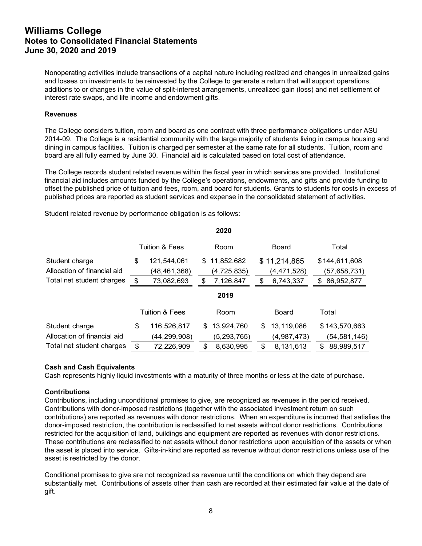Nonoperating activities include transactions of a capital nature including realized and changes in unrealized gains and losses on investments to be reinvested by the College to generate a return that will support operations, additions to or changes in the value of split-interest arrangements, unrealized gain (loss) and net settlement of interest rate swaps, and life income and endowment gifts.

## **Revenues**

The College considers tuition, room and board as one contract with three performance obligations under ASU 2014-09. The College is a residential community with the large majority of students living in campus housing and dining in campus facilities. Tuition is charged per semester at the same rate for all students. Tuition, room and board are all fully earned by June 30. Financial aid is calculated based on total cost of attendance.

The College records student related revenue within the fiscal year in which services are provided. Institutional financial aid includes amounts funded by the College's operations, endowments, and gifts and provide funding to offset the published price of tuition and fees, room, and board for students. Grants to students for costs in excess of published prices are reported as student services and expense in the consolidated statement of activities.

Student related revenue by performance obligation is as follows:

|                             |    |                           |     | 2020          |                  |                  |
|-----------------------------|----|---------------------------|-----|---------------|------------------|------------------|
|                             |    | <b>Tuition &amp; Fees</b> |     | Room          | Board            | Total            |
| Student charge              | \$ | 121,544,061               | S.  | 11,852,682    | \$11,214,865     | \$144,611,608    |
| Allocation of financial aid |    | (48,461,368)              |     | (4, 725, 835) | (4,471,528)      | (57,658,731)     |
| Total net student charges   | S  | 73,082,693                | S   | 7,126,847     | \$<br>6,743,337  | \$<br>86,952,877 |
|                             |    |                           |     | 2019          |                  |                  |
|                             |    | <b>Tuition &amp; Fees</b> |     | Room          | Board            | Total            |
| Student charge              | \$ | 116,526,817               | \$. | 13,924,760    | \$<br>13,119,086 | \$143,570,663    |
| Allocation of financial aid |    | (44,299,908)              |     | (5, 293, 765) | (4,987,473)      | (54, 581, 146)   |
| Total net student charges   | \$ | 72,226,909                | \$  | 8,630,995     | \$<br>8,131,613  | \$<br>88,989,517 |

## **Cash and Cash Equivalents**

Cash represents highly liquid investments with a maturity of three months or less at the date of purchase.

#### **Contributions**

Contributions, including unconditional promises to give, are recognized as revenues in the period received. Contributions with donor-imposed restrictions (together with the associated investment return on such contributions) are reported as revenues with donor restrictions. When an expenditure is incurred that satisfies the donor-imposed restriction, the contribution is reclassified to net assets without donor restrictions. Contributions restricted for the acquisition of land, buildings and equipment are reported as revenues with donor restrictions. These contributions are reclassified to net assets without donor restrictions upon acquisition of the assets or when the asset is placed into service. Gifts-in-kind are reported as revenue without donor restrictions unless use of the asset is restricted by the donor.

Conditional promises to give are not recognized as revenue until the conditions on which they depend are substantially met. Contributions of assets other than cash are recorded at their estimated fair value at the date of gift.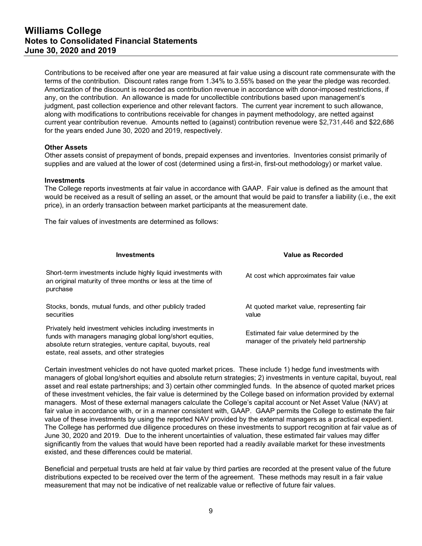Contributions to be received after one year are measured at fair value using a discount rate commensurate with the terms of the contribution. Discount rates range from 1.34% to 3.55% based on the year the pledge was recorded. Amortization of the discount is recorded as contribution revenue in accordance with donor-imposed restrictions, if any, on the contribution. An allowance is made for uncollectible contributions based upon management's judgment, past collection experience and other relevant factors. The current year increment to such allowance, along with modifications to contributions receivable for changes in payment methodology, are netted against current year contribution revenue. Amounts netted to (against) contribution revenue were \$2,731,446 and \$22,686 for the years ended June 30, 2020 and 2019, respectively.

## **Other Assets**

Other assets consist of prepayment of bonds, prepaid expenses and inventories. Inventories consist primarily of supplies and are valued at the lower of cost (determined using a first-in, first-out methodology) or market value.

#### **Investments**

The College reports investments at fair value in accordance with GAAP. Fair value is defined as the amount that would be received as a result of selling an asset, or the amount that would be paid to transfer a liability (i.e., the exit price), in an orderly transaction between market participants at the measurement date.

The fair values of investments are determined as follows:

| <b>Investments</b>                                                                                                                                                                                                                 | Value as Recorded                                                                   |
|------------------------------------------------------------------------------------------------------------------------------------------------------------------------------------------------------------------------------------|-------------------------------------------------------------------------------------|
| Short-term investments include highly liquid investments with<br>an original maturity of three months or less at the time of<br>purchase                                                                                           | At cost which approximates fair value                                               |
| Stocks, bonds, mutual funds, and other publicly traded<br>securities                                                                                                                                                               | At quoted market value, representing fair<br>value                                  |
| Privately held investment vehicles including investments in<br>funds with managers managing global long/short equities,<br>absolute return strategies, venture capital, buyouts, real<br>estate, real assets, and other strategies | Estimated fair value determined by the<br>manager of the privately held partnership |

Certain investment vehicles do not have quoted market prices. These include 1) hedge fund investments with managers of global long/short equities and absolute return strategies; 2) investments in venture capital, buyout, real asset and real estate partnerships; and 3) certain other commingled funds. In the absence of quoted market prices of these investment vehicles, the fair value is determined by the College based on information provided by external managers. Most of these external managers calculate the College's capital account or Net Asset Value (NAV) at fair value in accordance with, or in a manner consistent with, GAAP. GAAP permits the College to estimate the fair value of these investments by using the reported NAV provided by the external managers as a practical expedient. The College has performed due diligence procedures on these investments to support recognition at fair value as of June 30, 2020 and 2019. Due to the inherent uncertainties of valuation, these estimated fair values may differ significantly from the values that would have been reported had a readily available market for these investments existed, and these differences could be material.

Beneficial and perpetual trusts are held at fair value by third parties are recorded at the present value of the future distributions expected to be received over the term of the agreement. These methods may result in a fair value measurement that may not be indicative of net realizable value or reflective of future fair values.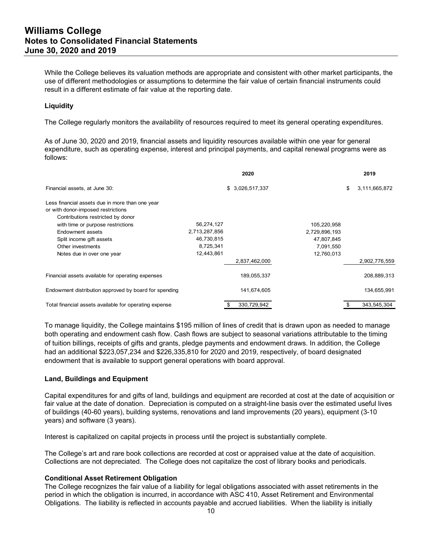# **Williams College Notes to Consolidated Financial Statements June 30, 2020 and 2019**

While the College believes its valuation methods are appropriate and consistent with other market participants, the use of different methodologies or assumptions to determine the fair value of certain financial instruments could result in a different estimate of fair value at the reporting date.

## **Liquidity**

The College regularly monitors the availability of resources required to meet its general operating expenditures.

As of June 30, 2020 and 2019, financial assets and liquidity resources available within one year for general expenditure, such as operating expense, interest and principal payments, and capital renewal programs were as follows:

|               | 2020             |               | 2019                |
|---------------|------------------|---------------|---------------------|
|               | \$ 3,026,517,337 |               | \$<br>3,111,665,872 |
|               |                  |               |                     |
|               |                  |               |                     |
| 56,274,127    |                  | 105,220,958   |                     |
| 2,713,287,856 |                  | 2,729,896,193 |                     |
| 46,730,815    |                  | 47,807,845    |                     |
| 8,725,341     |                  | 7,091,550     |                     |
| 12,443,861    |                  | 12,760,013    |                     |
|               | 2,837,462,000    |               | 2,902,776,559       |
|               | 189,055,337      |               | 208,889,313         |
|               | 141,674,605      |               | 134,655,991         |
|               | 330,729,942      |               | 343,545,304         |
|               |                  |               |                     |

To manage liquidity, the College maintains \$195 million of lines of credit that is drawn upon as needed to manage both operating and endowment cash flow. Cash flows are subject to seasonal variations attributable to the timing of tuition billings, receipts of gifts and grants, pledge payments and endowment draws. In addition, the College had an additional \$223,057,234 and \$226,335,810 for 2020 and 2019, respectively, of board designated endowment that is available to support general operations with board approval.

#### **Land, Buildings and Equipment**

Capital expenditures for and gifts of land, buildings and equipment are recorded at cost at the date of acquisition or fair value at the date of donation. Depreciation is computed on a straight-line basis over the estimated useful lives of buildings (40-60 years), building systems, renovations and land improvements (20 years), equipment (3-10 years) and software (3 years).

Interest is capitalized on capital projects in process until the project is substantially complete.

The College's art and rare book collections are recorded at cost or appraised value at the date of acquisition. Collections are not depreciated. The College does not capitalize the cost of library books and periodicals.

#### **Conditional Asset Retirement Obligation**

The College recognizes the fair value of a liability for legal obligations associated with asset retirements in the period in which the obligation is incurred, in accordance with ASC 410, Asset Retirement and Environmental Obligations. The liability is reflected in accounts payable and accrued liabilities. When the liability is initially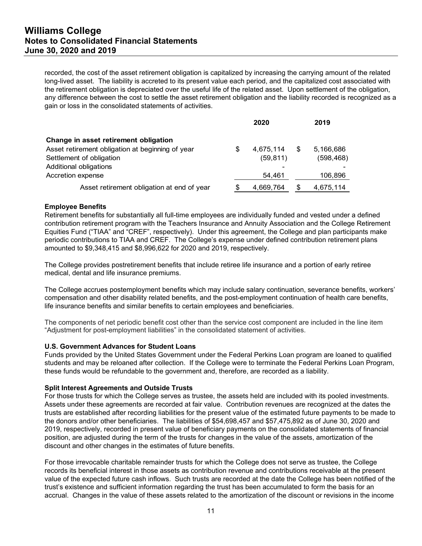# **Williams College Notes to Consolidated Financial Statements June 30, 2020 and 2019**

recorded, the cost of the asset retirement obligation is capitalized by increasing the carrying amount of the related long-lived asset. The liability is accreted to its present value each period, and the capitalized cost associated with the retirement obligation is depreciated over the useful life of the related asset. Upon settlement of the obligation, any difference between the cost to settle the asset retirement obligation and the liability recorded is recognized as a gain or loss in the consolidated statements of activities.

|                                                  |   | 2020      |    | 2019       |
|--------------------------------------------------|---|-----------|----|------------|
| Change in asset retirement obligation            |   |           |    |            |
| Asset retirement obligation at beginning of year | S | 4,675,114 | \$ | 5,166,686  |
| Settlement of obligation                         |   | (59, 811) |    | (598, 468) |
| Additional obligations                           |   | -         |    |            |
| Accretion expense                                |   | 54.461    |    | 106,896    |
| Asset retirement obligation at end of year       |   | 4,669,764 | S  | 4,675,114  |

## **Employee Benefits**

Retirement benefits for substantially all full-time employees are individually funded and vested under a defined contribution retirement program with the Teachers Insurance and Annuity Association and the College Retirement Equities Fund ("TIAA" and "CREF", respectively). Under this agreement, the College and plan participants make periodic contributions to TIAA and CREF. The College's expense under defined contribution retirement plans amounted to \$9,348,415 and \$8,996,622 for 2020 and 2019, respectively.

The College provides postretirement benefits that include retiree life insurance and a portion of early retiree medical, dental and life insurance premiums.

The College accrues postemployment benefits which may include salary continuation, severance benefits, workers' compensation and other disability related benefits, and the post-employment continuation of health care benefits, life insurance benefits and similar benefits to certain employees and beneficiaries.

The components of net periodic benefit cost other than the service cost component are included in the line item "Adjustment for post-employment liabilities" in the consolidated statement of activities.

#### **U.S. Government Advances for Student Loans**

Funds provided by the United States Government under the Federal Perkins Loan program are loaned to qualified students and may be reloaned after collection. If the College were to terminate the Federal Perkins Loan Program, these funds would be refundable to the government and, therefore, are recorded as a liability.

#### **Split Interest Agreements and Outside Trusts**

For those trusts for which the College serves as trustee, the assets held are included with its pooled investments. Assets under these agreements are recorded at fair value. Contribution revenues are recognized at the dates the trusts are established after recording liabilities for the present value of the estimated future payments to be made to the donors and/or other beneficiaries. The liabilities of \$54,698,457 and \$57,475,892 as of June 30, 2020 and 2019, respectively, recorded in present value of beneficiary payments on the consolidated statements of financial position, are adjusted during the term of the trusts for changes in the value of the assets, amortization of the discount and other changes in the estimates of future benefits.

For those irrevocable charitable remainder trusts for which the College does not serve as trustee, the College records its beneficial interest in those assets as contribution revenue and contributions receivable at the present value of the expected future cash inflows. Such trusts are recorded at the date the College has been notified of the trust's existence and sufficient information regarding the trust has been accumulated to form the basis for an accrual. Changes in the value of these assets related to the amortization of the discount or revisions in the income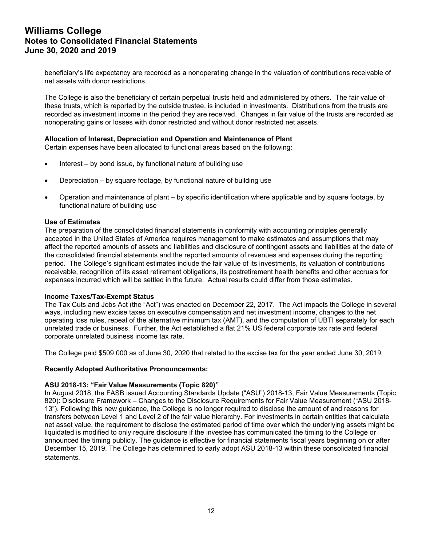beneficiary's life expectancy are recorded as a nonoperating change in the valuation of contributions receivable of net assets with donor restrictions.

The College is also the beneficiary of certain perpetual trusts held and administered by others. The fair value of these trusts, which is reported by the outside trustee, is included in investments. Distributions from the trusts are recorded as investment income in the period they are received. Changes in fair value of the trusts are recorded as nonoperating gains or losses with donor restricted and without donor restricted net assets.

## **Allocation of Interest, Depreciation and Operation and Maintenance of Plant**

Certain expenses have been allocated to functional areas based on the following:

- $\bullet$  Interest by bond issue, by functional nature of building use
- Depreciation by square footage, by functional nature of building use
- Operation and maintenance of plant by specific identification where applicable and by square footage, by functional nature of building use

#### **Use of Estimates**

The preparation of the consolidated financial statements in conformity with accounting principles generally accepted in the United States of America requires management to make estimates and assumptions that may affect the reported amounts of assets and liabilities and disclosure of contingent assets and liabilities at the date of the consolidated financial statements and the reported amounts of revenues and expenses during the reporting period. The College's significant estimates include the fair value of its investments, its valuation of contributions receivable, recognition of its asset retirement obligations, its postretirement health benefits and other accruals for expenses incurred which will be settled in the future. Actual results could differ from those estimates.

#### **Income Taxes/Tax-Exempt Status**

The Tax Cuts and Jobs Act (the "Act") was enacted on December 22, 2017. The Act impacts the College in several ways, including new excise taxes on executive compensation and net investment income, changes to the net operating loss rules, repeal of the alternative minimum tax (AMT), and the computation of UBTI separately for each unrelated trade or business. Further, the Act established a flat 21% US federal corporate tax rate and federal corporate unrelated business income tax rate.

The College paid \$509,000 as of June 30, 2020 that related to the excise tax for the year ended June 30, 2019.

#### **Recently Adopted Authoritative Pronouncements:**

#### **ASU 2018-13: "Fair Value Measurements (Topic 820)"**

In August 2018, the FASB issued Accounting Standards Update ("ASU") 2018-13, Fair Value Measurements (Topic 820): Disclosure Framework – Changes to the Disclosure Requirements for Fair Value Measurement ("ASU 2018- 13"). Following this new guidance, the College is no longer required to disclose the amount of and reasons for transfers between Level 1 and Level 2 of the fair value hierarchy. For investments in certain entities that calculate net asset value, the requirement to disclose the estimated period of time over which the underlying assets might be liquidated is modified to only require disclosure if the investee has communicated the timing to the College or announced the timing publicly. The guidance is effective for financial statements fiscal years beginning on or after December 15, 2019. The College has determined to early adopt ASU 2018-13 within these consolidated financial statements.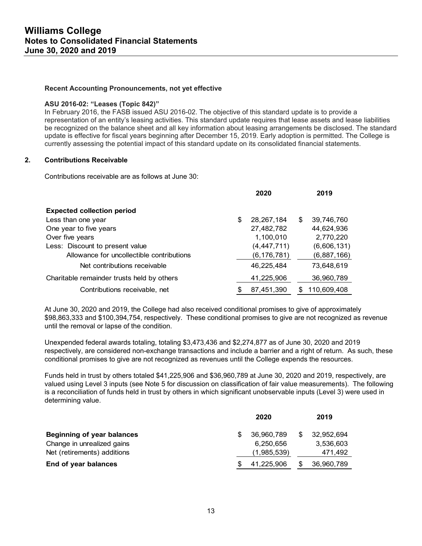#### **Recent Accounting Pronouncements, not yet effective**

#### **ASU 2016-02: "Leases (Topic 842)"**

In February 2016, the FASB issued ASU 2016-02. The objective of this standard update is to provide a representation of an entity's leasing activities. This standard update requires that lease assets and lease liabilities be recognized on the balance sheet and all key information about leasing arrangements be disclosed. The standard update is effective for fiscal years beginning after December 15, 2019. Early adoption is permitted. The College is currently assessing the potential impact of this standard update on its consolidated financial statements.

## **2. Contributions Receivable**

Contributions receivable are as follows at June 30:

|                                            | 2020               |    | 2019        |
|--------------------------------------------|--------------------|----|-------------|
| <b>Expected collection period</b>          |                    |    |             |
| Less than one year                         | \$<br>28, 267, 184 | S  | 39,746,760  |
| One year to five years                     | 27,482,782         |    | 44,624,936  |
| Over five years                            | 1,100,010          |    | 2,770,220   |
| Less: Discount to present value            | (4, 447, 711)      |    | (6,606,131) |
| Allowance for uncollectible contributions  | (6, 176, 781)      |    | (6,887,166) |
| Net contributions receivable               | 46.225.484         |    | 73,648,619  |
| Charitable remainder trusts held by others | 41,225,906         |    | 36,960,789  |
| Contributions receivable, net              | \$<br>87,451,390   | S. | 110.609.408 |

At June 30, 2020 and 2019, the College had also received conditional promises to give of approximately \$98,863,333 and \$100,394,754, respectively. These conditional promises to give are not recognized as revenue until the removal or lapse of the condition.

Unexpended federal awards totaling, totaling \$3,473,436 and \$2,274,877 as of June 30, 2020 and 2019 respectively, are considered non-exchange transactions and include a barrier and a right of return. As such, these conditional promises to give are not recognized as revenues until the College expends the resources.

Funds held in trust by others totaled \$41,225,906 and \$36,960,789 at June 30, 2020 and 2019, respectively, are valued using Level 3 inputs (see Note 5 for discussion on classification of fair value measurements). The following is a reconciliation of funds held in trust by others in which significant unobservable inputs (Level 3) were used in determining value.

|                                   |     | 2020        | 2019       |
|-----------------------------------|-----|-------------|------------|
| <b>Beginning of year balances</b> | \$. | 36,960,789  | 32.952.694 |
| Change in unrealized gains        |     | 6,250,656   | 3,536,603  |
| Net (retirements) additions       |     | (1,985,539) | 471,492    |
| End of year balances              |     | 41,225,906  | 36,960,789 |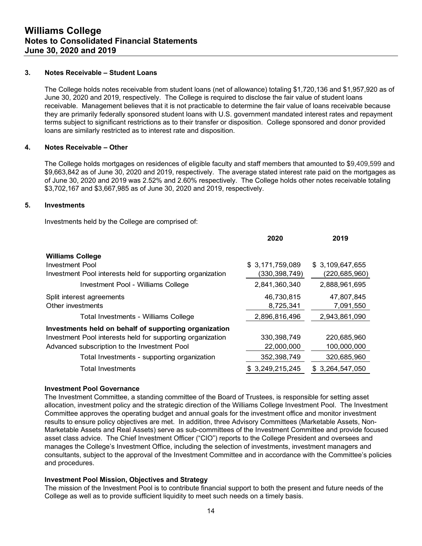## **3. Notes Receivable – Student Loans**

The College holds notes receivable from student loans (net of allowance) totaling \$1,720,136 and \$1,957,920 as of June 30, 2020 and 2019, respectively. The College is required to disclose the fair value of student loans receivable. Management believes that it is not practicable to determine the fair value of loans receivable because they are primarily federally sponsored student loans with U.S. government mandated interest rates and repayment terms subject to significant restrictions as to their transfer or disposition. College sponsored and donor provided loans are similarly restricted as to interest rate and disposition.

## **4. Notes Receivable – Other**

The College holds mortgages on residences of eligible faculty and staff members that amounted to \$9,409,599 and \$9,663,842 as of June 30, 2020 and 2019, respectively. The average stated interest rate paid on the mortgages as of June 30, 2020 and 2019 was 2.52% and 2.60% respectively. The College holds other notes receivable totaling \$3,702,167 and \$3,667,985 as of June 30, 2020 and 2019, respectively.

## **5. Investments**

Investments held by the College are comprised of:

|                                                            | 2020            | 2019            |
|------------------------------------------------------------|-----------------|-----------------|
| <b>Williams College</b>                                    |                 |                 |
| Investment Pool                                            | \$3,171,759,089 | \$3,109,647,655 |
| Investment Pool interests held for supporting organization | (330,398,749)   | (220, 685, 960) |
| Investment Pool - Williams College                         | 2,841,360,340   | 2,888,961,695   |
| Split interest agreements                                  | 46,730,815      | 47.807.845      |
| Other investments                                          | 8,725,341       | 7,091,550       |
| Total Investments - Williams College                       | 2,896,816,496   | 2,943,861,090   |
| Investments held on behalf of supporting organization      |                 |                 |
| Investment Pool interests held for supporting organization | 330, 398, 749   | 220,685,960     |
| Advanced subscription to the Investment Pool               | 22,000,000      | 100,000,000     |
| Total Investments - supporting organization                | 352,398,749     | 320,685,960     |
| Total Investments                                          | \$3,249,215,245 | \$3,264,547,050 |

#### **Investment Pool Governance**

The Investment Committee, a standing committee of the Board of Trustees, is responsible for setting asset allocation, investment policy and the strategic direction of the Williams College Investment Pool. The Investment Committee approves the operating budget and annual goals for the investment office and monitor investment results to ensure policy objectives are met. In addition, three Advisory Committees (Marketable Assets, Non-Marketable Assets and Real Assets) serve as sub-committees of the Investment Committee and provide focused asset class advice. The Chief Investment Officer ("CIO") reports to the College President and oversees and manages the College's Investment Office, including the selection of investments, investment managers and consultants, subject to the approval of the Investment Committee and in accordance with the Committee's policies and procedures.

## **Investment Pool Mission, Objectives and Strategy**

The mission of the Investment Pool is to contribute financial support to both the present and future needs of the College as well as to provide sufficient liquidity to meet such needs on a timely basis.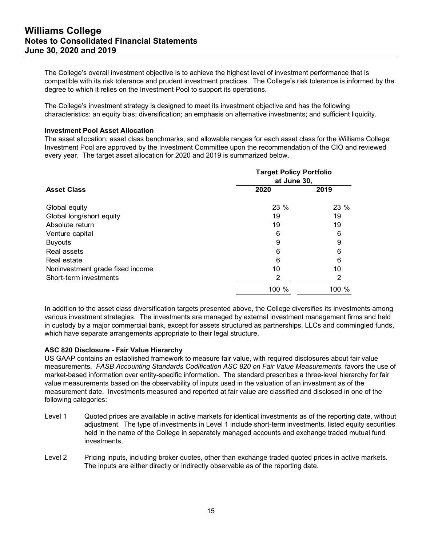# **Williams College Notes to Consolidated Financial Statements June 30, 2020 and 2019**

The College's overall investment objective is to achieve the highest level of investment performance that is compatible with its risk tolerance and prudent investment practices. The College's risk tolerance is informed by the degree to which it relies on the Investment Pool to support its operations.

The College's investment strategy is designed to meet its investment objective and has the following characteristics: an equity bias; diversification; an emphasis on alternative investments; and sufficient liquidity.

#### **Investment Pool Asset Allocation**

The asset allocation, asset class benchmarks, and allowable ranges for each asset class for the Williams College Investment Pool are approved by the Investment Committee upon the recommendation of the CIO and reviewed every year. The target asset allocation for 2020 and 2019 is summarized below.

| <b>Asset Class</b>               | <b>Target Policy Portfolio</b><br>at June 30, |       |  |  |  |
|----------------------------------|-----------------------------------------------|-------|--|--|--|
|                                  | 2020                                          | 2019  |  |  |  |
| Global equity                    | 23 %                                          | 23 %  |  |  |  |
| Global long/short equity         | 19                                            | 19    |  |  |  |
| Absolute return                  | 19                                            | 19    |  |  |  |
| Venture capital                  | 6                                             | 6     |  |  |  |
| <b>Buyouts</b>                   | 9                                             | 9     |  |  |  |
| Real assets                      | 6                                             | 6     |  |  |  |
| Real estate                      | 6                                             | 6     |  |  |  |
| Noninvestment grade fixed income | 10                                            | 10    |  |  |  |
| Short-term investments           | 2                                             | 2     |  |  |  |
|                                  | 100 %                                         | 100 % |  |  |  |

In addition to the asset class diversification targets presented above, the College diversifies its investments among various investment strategies. The investments are managed by external investment management firms and held in custody by a major commercial bank, except for assets structured as partnerships, LLCs and commingled funds, which have separate arrangements appropriate to their legal structure.

## **ASC 820 Disclosure - Fair Value Hierarchy**

US GAAP contains an established framework to measure fair value, with required disclosures about fair value measurements. *FASB Accounting Standards Codification ASC 820 on Fair Value Measurements*, favors the use of market-based information over entity-specific information. The standard prescribes a three-level hierarchy for fair value measurements based on the observability of inputs used in the valuation of an investment as of the measurement date. Investments measured and reported at fair value are classified and disclosed in one of the following categories:

- Level 1 Quoted prices are available in active markets for identical investments as of the reporting date, without adjustment. The type of investments in Level 1 include short-term investments, listed equity securities held in the name of the College in separately managed accounts and exchange traded mutual fund investments.
- Level 2 Pricing inputs, including broker quotes, other than exchange traded quoted prices in active markets. The inputs are either directly or indirectly observable as of the reporting date.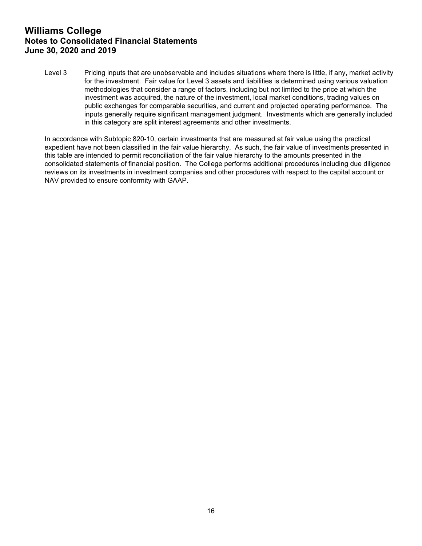Level 3 Pricing inputs that are unobservable and includes situations where there is little, if any, market activity for the investment. Fair value for Level 3 assets and liabilities is determined using various valuation methodologies that consider a range of factors, including but not limited to the price at which the investment was acquired, the nature of the investment, local market conditions, trading values on public exchanges for comparable securities, and current and projected operating performance. The inputs generally require significant management judgment. Investments which are generally included in this category are split interest agreements and other investments.

In accordance with Subtopic 820-10, certain investments that are measured at fair value using the practical expedient have not been classified in the fair value hierarchy. As such, the fair value of investments presented in this table are intended to permit reconciliation of the fair value hierarchy to the amounts presented in the consolidated statements of financial position. The College performs additional procedures including due diligence reviews on its investments in investment companies and other procedures with respect to the capital account or NAV provided to ensure conformity with GAAP.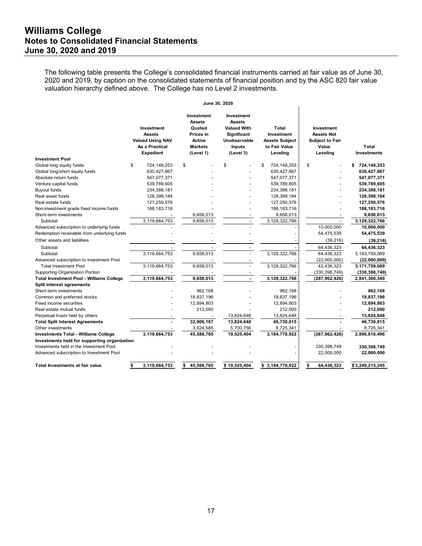The following table presents the College's consolidated financial instruments carried at fair value as of June 30, 2020 and 2019, by caption on the consolidated statements of financial position and by the ASC 820 fair value valuation hierarchy defined above. The College has no Level 2 investments.

|                                                 |                                                                                                     | June 30, 2020                                                                                      |                                                                                                                       |                                                                           |                                                                                |                             |
|-------------------------------------------------|-----------------------------------------------------------------------------------------------------|----------------------------------------------------------------------------------------------------|-----------------------------------------------------------------------------------------------------------------------|---------------------------------------------------------------------------|--------------------------------------------------------------------------------|-----------------------------|
|                                                 | <b>Investment</b><br><b>Assets</b><br><b>Valued Using NAV</b><br>As a Practical<br><b>Expedient</b> | Investment<br><b>Assets</b><br>Quoted<br>Prices in<br><b>Active</b><br><b>Markets</b><br>(Level 1) | Investment<br><b>Assets</b><br><b>Valued With</b><br><b>Significant</b><br>Unobservable<br><b>Inputs</b><br>(Level 3) | Total<br>Investment<br><b>Assets Subject</b><br>to Fair Value<br>Leveling | Investment<br><b>Assets Not</b><br><b>Subject to Fair</b><br>Value<br>Leveling | Total<br><b>Investments</b> |
| <b>Investment Pool</b>                          |                                                                                                     |                                                                                                    |                                                                                                                       |                                                                           |                                                                                |                             |
| Global long equity funds                        | \$<br>724,148,253                                                                                   | \$                                                                                                 | \$                                                                                                                    | \$<br>724, 148, 253                                                       | \$                                                                             | \$<br>724,148,253           |
| Global long/short equity funds                  | 630,427,867                                                                                         |                                                                                                    |                                                                                                                       | 630,427,867                                                               |                                                                                | 630,427,867                 |
| Absolute return funds                           | 547,077,371                                                                                         |                                                                                                    |                                                                                                                       | 547,077,371                                                               |                                                                                | 547,077,371                 |
| Venture capital funds                           | 539,789,605                                                                                         |                                                                                                    |                                                                                                                       | 539,789,605                                                               |                                                                                | 539,789,605                 |
| <b>Buyout funds</b>                             | 234,388,181                                                                                         |                                                                                                    |                                                                                                                       | 234,388,181                                                               |                                                                                | 234,388,181                 |
| Real asset funds                                | 128,399,184                                                                                         |                                                                                                    |                                                                                                                       | 128,399,184                                                               |                                                                                | 128,399,184                 |
| Real estate funds                               | 127,250,576                                                                                         |                                                                                                    |                                                                                                                       | 127,250,576                                                               |                                                                                | 127,250,576                 |
| Non-investment grade fixed income funds         | 188, 183, 716                                                                                       |                                                                                                    |                                                                                                                       | 188, 183, 716                                                             |                                                                                | 188, 183, 716               |
| Short-term investments                          |                                                                                                     | 9,658,013                                                                                          |                                                                                                                       | 9,658,013                                                                 |                                                                                | 9,658,013                   |
| Subtotal                                        | 3,119,664,753                                                                                       | 9,658,013                                                                                          |                                                                                                                       | 3,129,322,766                                                             | ÷                                                                              | 3,129,322,766               |
| Advanced subscription to underlying funds       |                                                                                                     |                                                                                                    |                                                                                                                       |                                                                           | 10,000,000                                                                     | 10,000,000                  |
| Redemption receivable from underlying funds     |                                                                                                     |                                                                                                    |                                                                                                                       |                                                                           | 54,475,539                                                                     | 54,475,539                  |
| Other assets and liabilities                    |                                                                                                     |                                                                                                    |                                                                                                                       |                                                                           | (39, 216)                                                                      | (39, 216)                   |
| Subtotal                                        |                                                                                                     |                                                                                                    |                                                                                                                       |                                                                           | 64,436,323                                                                     | 64,436,323                  |
| Subtotal                                        | 3,119,664,753                                                                                       | 9,658,013                                                                                          |                                                                                                                       | 3,129,322,766                                                             | 64,436,323                                                                     | 3,193,759,089               |
| Advanced subscription to Investment Pool        |                                                                                                     |                                                                                                    |                                                                                                                       |                                                                           | (22,000,000)                                                                   | (22,000,000)                |
| <b>Total Investment Pool</b>                    | 3,119,664,753                                                                                       | 9,658,013                                                                                          |                                                                                                                       | 3,129,322,766                                                             | 42,436,323                                                                     | 3,171,759,089               |
| Supporting Organization Portion                 |                                                                                                     |                                                                                                    |                                                                                                                       |                                                                           | (330, 398, 749)                                                                | (330, 398, 749)             |
| <b>Total Investment Pool - Williams College</b> | 3,119,664,753                                                                                       | 9,658,013                                                                                          |                                                                                                                       | 3,129,322,766                                                             | (287, 962, 426)                                                                | 2,841,360,340               |
| Split interest agreements                       |                                                                                                     |                                                                                                    |                                                                                                                       |                                                                           |                                                                                |                             |
| Short-term investments                          |                                                                                                     | 962,168                                                                                            |                                                                                                                       | 962,168                                                                   |                                                                                | 962,168                     |
| Common and preferred stocks                     |                                                                                                     | 18,837,196                                                                                         |                                                                                                                       | 18,837,196                                                                |                                                                                | 18,837,196                  |
| <b>Fixed income securities</b>                  |                                                                                                     | 12,894,803                                                                                         |                                                                                                                       | 12,894,803                                                                |                                                                                | 12,894,803                  |
| Real estate mutual funds                        |                                                                                                     | 212,000                                                                                            |                                                                                                                       | 212,000                                                                   |                                                                                | 212,000                     |
| Perpetual trusts held by others                 |                                                                                                     |                                                                                                    | 13,824,648                                                                                                            | 13,824,648                                                                |                                                                                | 13,824,648                  |
| <b>Total Split Interest Agreements</b>          |                                                                                                     | 32,906,167                                                                                         | 13,824,648                                                                                                            | 46,730,815                                                                |                                                                                | 46,730,815                  |
| Other investments                               |                                                                                                     | 3,024,585                                                                                          | 5,700,756                                                                                                             | 8,725,341                                                                 |                                                                                | 8,725,341                   |
| <b>Investments Total - Williams College</b>     | 3,119,664,753                                                                                       | 45,588,765                                                                                         | 19,525,404                                                                                                            | 3, 184, 778, 922                                                          | (287, 962, 426)                                                                | 2,896,816,496               |
| Investments held for supporting organization    |                                                                                                     |                                                                                                    |                                                                                                                       |                                                                           |                                                                                |                             |
| Investments held in the Investment Pool         |                                                                                                     |                                                                                                    |                                                                                                                       |                                                                           | 330, 398, 749                                                                  | 330,398,749                 |
| Advanced subscription to Investment Pool        |                                                                                                     |                                                                                                    |                                                                                                                       |                                                                           | 22,000,000                                                                     | 22,000,000                  |
| <b>Total Investments at fair value</b>          | 3,119,664,753<br>\$                                                                                 | 45,588,765<br>\$                                                                                   | \$19,525,404                                                                                                          | \$3,184,778,922                                                           | \$<br>64,436,323                                                               | \$3,249,215,245             |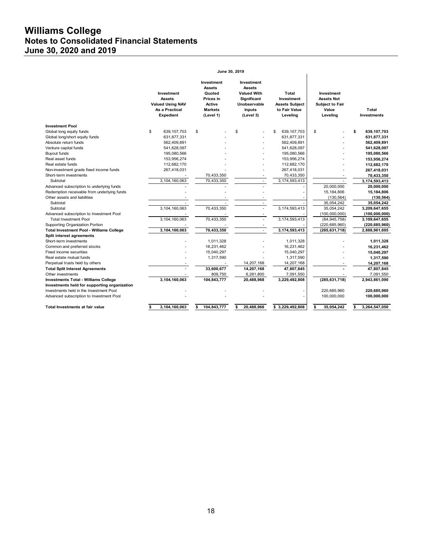# **Williams College Notes to Consolidated Financial Statements June 30, 2020 and 2019**

|                                                 |                                                                                              | June 30, 2019                                                                               |                                                                                                                       |                                                                           |                                                                                |                             |
|-------------------------------------------------|----------------------------------------------------------------------------------------------|---------------------------------------------------------------------------------------------|-----------------------------------------------------------------------------------------------------------------------|---------------------------------------------------------------------------|--------------------------------------------------------------------------------|-----------------------------|
|                                                 | Investment<br><b>Assets</b><br><b>Valued Using NAV</b><br>As a Practical<br><b>Expedient</b> | Investment<br><b>Assets</b><br>Quoted<br>Prices in<br>Active<br><b>Markets</b><br>(Level 1) | Investment<br><b>Assets</b><br><b>Valued With</b><br><b>Significant</b><br>Unobservable<br><b>Inputs</b><br>(Level 3) | Total<br>Investment<br><b>Assets Subject</b><br>to Fair Value<br>Leveling | Investment<br><b>Assets Not</b><br><b>Subject to Fair</b><br>Value<br>Leveling | Total<br><b>Investments</b> |
| <b>Investment Pool</b>                          |                                                                                              |                                                                                             |                                                                                                                       |                                                                           |                                                                                |                             |
| Global long equity funds                        | \$<br>639, 107, 703                                                                          | \$                                                                                          | \$                                                                                                                    | \$<br>639, 107, 703                                                       | \$                                                                             | \$<br>639,107,703           |
| Global long/short equity funds                  | 631,877,331                                                                                  |                                                                                             |                                                                                                                       | 631,877,331                                                               |                                                                                | 631,877,331                 |
| Absolute return funds                           | 562,409,891                                                                                  |                                                                                             |                                                                                                                       | 562,409,891                                                               |                                                                                | 562,409,891                 |
| Venture capital funds                           | 541,628,097                                                                                  |                                                                                             |                                                                                                                       | 541,628,097                                                               |                                                                                | 541,628,097                 |
| <b>Buyout funds</b>                             | 195,080,566                                                                                  |                                                                                             |                                                                                                                       | 195,080,566                                                               |                                                                                | 195,080,566                 |
| Real asset funds                                | 153,956,274                                                                                  |                                                                                             |                                                                                                                       | 153,956,274                                                               |                                                                                | 153,956,274                 |
| Real estate funds                               | 112,682,170                                                                                  |                                                                                             |                                                                                                                       | 112,682,170                                                               |                                                                                | 112,682,170                 |
| Non-investment grade fixed income funds         | 267,418,031                                                                                  |                                                                                             |                                                                                                                       | 267,418,031                                                               |                                                                                | 267,418,031                 |
| Short-term investments                          |                                                                                              | 70,433,350                                                                                  |                                                                                                                       | 70,433,350                                                                |                                                                                | 70,433,350                  |
| Subtotal                                        | 3,104,160,063                                                                                | 70,433,350                                                                                  | $\overline{\phantom{a}}$                                                                                              | 3,174,593,413                                                             | $\overline{\phantom{a}}$                                                       | 3,174,593,413               |
| Advanced subscription to underlying funds       |                                                                                              |                                                                                             |                                                                                                                       |                                                                           | 20,000,000                                                                     | 20,000,000                  |
| Redemption receivable from underlying funds     |                                                                                              |                                                                                             |                                                                                                                       |                                                                           | 15,184,806                                                                     | 15,184,806                  |
| Other assets and liabilities                    |                                                                                              |                                                                                             |                                                                                                                       |                                                                           | (130, 564)                                                                     | (130, 564)                  |
| Subtotal                                        |                                                                                              |                                                                                             |                                                                                                                       |                                                                           | 35,054,242                                                                     | 35,054,242                  |
| Subtotal                                        | 3,104,160,063                                                                                | 70,433,350                                                                                  |                                                                                                                       | 3,174,593,413                                                             | 35,054,242                                                                     | 3,209,647,655               |
| Advanced subscription to Investment Pool        |                                                                                              |                                                                                             |                                                                                                                       |                                                                           | (100,000,000)                                                                  | (100, 000, 000)             |
| <b>Total Investment Pool</b>                    | 3,104,160,063                                                                                | 70,433,350                                                                                  |                                                                                                                       | 3,174,593,413                                                             | (64, 945, 758)                                                                 | 3,109,647,655               |
| Supporting Organization Portion                 |                                                                                              |                                                                                             |                                                                                                                       |                                                                           | (220, 685, 960)                                                                | (220, 685, 960)             |
| <b>Total Investment Pool - Williams College</b> | 3,104,160,063                                                                                | 70,433,350                                                                                  |                                                                                                                       | 3,174,593,413                                                             | (285, 631, 718)                                                                | 2,888,961,695               |
| Split interest agreements                       |                                                                                              |                                                                                             |                                                                                                                       |                                                                           |                                                                                |                             |
| Short-term investments                          |                                                                                              | 1,011,328                                                                                   |                                                                                                                       | 1,011,328                                                                 |                                                                                | 1,011,328                   |
| Common and preferred stocks                     |                                                                                              | 16,231,462                                                                                  |                                                                                                                       | 16,231,462                                                                |                                                                                | 16,231,462                  |
| Fixed income securities                         |                                                                                              | 15,040,297                                                                                  |                                                                                                                       | 15,040,297                                                                |                                                                                | 15,040,297                  |
| Real estate mutual funds                        |                                                                                              | 1,317,590                                                                                   |                                                                                                                       | 1,317,590                                                                 |                                                                                | 1,317,590                   |
| Perpetual trusts held by others                 |                                                                                              |                                                                                             | 14,207,168                                                                                                            | 14,207,168                                                                |                                                                                | 14,207,168                  |
| <b>Total Split Interest Agreements</b>          |                                                                                              | 33,600,677                                                                                  | 14,207,168                                                                                                            | 47,807,845                                                                |                                                                                | 47,807,845                  |
| Other investments                               |                                                                                              | 809,750                                                                                     | 6,281,800                                                                                                             | 7,091,550                                                                 |                                                                                | 7,091,550                   |
| <b>Investments Total - Williams College</b>     | 3,104,160,063                                                                                | 104,843,777                                                                                 | 20,488,968                                                                                                            | 3,229,492,808                                                             | (285, 631, 718)                                                                | 2,943,861,090               |
| Investments held for supporting organization    |                                                                                              |                                                                                             |                                                                                                                       |                                                                           |                                                                                |                             |
| Investments held in the Investment Pool         |                                                                                              |                                                                                             |                                                                                                                       |                                                                           | 220,685,960                                                                    | 220,685,960                 |
| Advanced subscription to Investment Pool        |                                                                                              |                                                                                             |                                                                                                                       |                                                                           | 100,000,000                                                                    | 100,000,000                 |
| <b>Total Investments at fair value</b>          | 3,104,160,063<br>\$                                                                          | 104,843,777<br>s                                                                            | 20,488,968<br>\$                                                                                                      | 3,229,492,808<br>\$                                                       | 35,054,242<br>\$                                                               | 3,264,547,050<br>s          |

**June 30, 2019**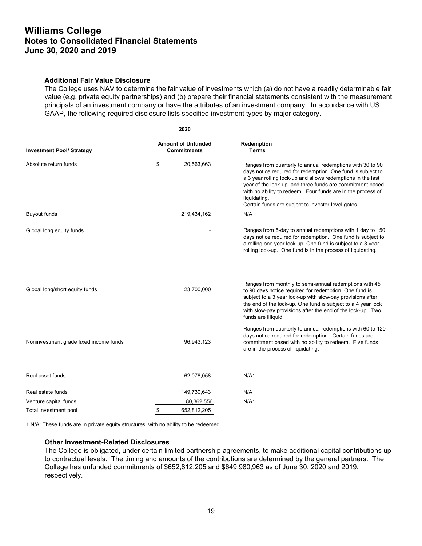#### **Additional Fair Value Disclosure**

The College uses NAV to determine the fair value of investments which (a) do not have a readily determinable fair value (e.g. private equity partnerships) and (b) prepare their financial statements consistent with the measurement principals of an investment company or have the attributes of an investment company. In accordance with US GAAP, the following required disclosure lists specified investment types by major category.

|                                        | 2020                                            |                                                                                                                                                                                                                                                                                                                                                                                           |
|----------------------------------------|-------------------------------------------------|-------------------------------------------------------------------------------------------------------------------------------------------------------------------------------------------------------------------------------------------------------------------------------------------------------------------------------------------------------------------------------------------|
| <b>Investment Pool/ Strategy</b>       | <b>Amount of Unfunded</b><br><b>Commitments</b> | Redemption<br><b>Terms</b>                                                                                                                                                                                                                                                                                                                                                                |
| Absolute return funds                  | \$<br>20,563,663                                | Ranges from quarterly to annual redemptions with 30 to 90<br>days notice required for redemption. One fund is subject to<br>a 3 year rolling lock-up and allows redemptions in the last<br>year of the lock-up. and three funds are commitment based<br>with no ability to redeem. Four funds are in the process of<br>liquidating.<br>Certain funds are subject to investor-level gates. |
| <b>Buyout funds</b>                    | 219,434,162                                     | N/A1                                                                                                                                                                                                                                                                                                                                                                                      |
| Global long equity funds               |                                                 | Ranges from 5-day to annual redemptions with 1 day to 150<br>days notice required for redemption. One fund is subject to<br>a rolling one year lock-up. One fund is subject to a 3 year<br>rolling lock-up. One fund is in the process of liquidating.                                                                                                                                    |
| Global long/short equity funds         | 23,700,000                                      | Ranges from monthly to semi-annual redemptions with 45<br>to 90 days notice required for redemption. One fund is<br>subject to a 3 year lock-up with slow-pay provisions after<br>the end of the lock-up. One fund is subject to a 4 year lock<br>with slow-pay provisions after the end of the lock-up. Two<br>funds are illiquid.                                                       |
| Noninvestment grade fixed income funds | 96,943,123                                      | Ranges from quarterly to annual redemptions with 60 to 120<br>days notice required for redemption. Certain funds are<br>commitment based with no ability to redeem. Five funds<br>are in the process of liquidating.                                                                                                                                                                      |
| Real asset funds                       | 62,078,058                                      | N/A1                                                                                                                                                                                                                                                                                                                                                                                      |
| Real estate funds                      | 149,730,643                                     | N/A1                                                                                                                                                                                                                                                                                                                                                                                      |
| Venture capital funds                  | 80,362,556                                      | N/A1                                                                                                                                                                                                                                                                                                                                                                                      |
| Total investment pool                  | 652,812,205<br>\$                               |                                                                                                                                                                                                                                                                                                                                                                                           |

1 N/A: These funds are in private equity structures, with no ability to be redeemed.

#### **Other Investment-Related Disclosures**

The College is obligated, under certain limited partnership agreements, to make additional capital contributions up to contractual levels. The timing and amounts of the contributions are determined by the general partners. The College has unfunded commitments of \$652,812,205 and \$649,980,963 as of June 30, 2020 and 2019, respectively.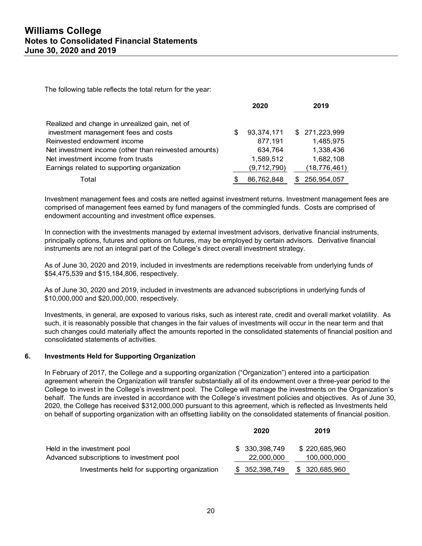The following table reflects the total return for the year:

|                                                       |   | 2020        | 2019              |
|-------------------------------------------------------|---|-------------|-------------------|
| Realized and change in unrealized gain, net of        |   |             |                   |
| investment management fees and costs                  | S | 93,374,171  | \$ 271,223,999    |
| Reinvested endowment income                           |   | 877,191     | 1,485,975         |
| Net investment income (other than reinvested amounts) |   | 634,764     | 1,338,436         |
| Net investment income from trusts                     |   | 1,589,512   | 1,682,108         |
| Earnings related to supporting organization           |   | (9,712,790) | (18, 776, 461)    |
| Total                                                 |   | 86,762,848  | \$<br>256,954,057 |

Investment management fees and costs are netted against investment returns. Investment management fees are comprised of management fees earned by fund managers of the commingled funds. Costs are comprised of endowment accounting and investment office expenses.

In connection with the investments managed by external investment advisors, derivative financial instruments, principally options, futures and options on futures, may be employed by certain advisors. Derivative financial instruments are not an integral part of the College's direct overall investment strategy.

As of June 30, 2020 and 2019, included in investments are redemptions receivable from underlying funds of \$54,475,539 and \$15,184,806, respectively.

As of June 30, 2020 and 2019, included in investments are advanced subscriptions in underlying funds of \$10,000,000 and \$20,000,000, respectively.

Investments, in general, are exposed to various risks, such as interest rate, credit and overall market volatility. As such, it is reasonably possible that changes in the fair values of investments will occur in the near term and that such changes could materially affect the amounts reported in the consolidated statements of financial position and consolidated statements of activities.

## **6. Investments Held for Supporting Organization**

In February of 2017, the College and a supporting organization ("Organization") entered into a participation agreement wherein the Organization will transfer substantially all of its endowment over a three-year period to the College to invest in the College's investment pool. The College will manage the investments on the Organization's behalf. The funds are invested in accordance with the College's investment policies and objectives. As of June 30, 2020, the College has received \$312,000,000 pursuant to this agreement, which is reflected as Investments held on behalf of supporting organization with an offsetting liability on the consolidated statements of financial position.

|                                              | 2020           | 2019           |
|----------------------------------------------|----------------|----------------|
| Held in the investment pool                  | \$ 330,398,749 | \$220,685,960  |
| Advanced subscriptions to investment pool    | 22,000,000     | 100,000,000    |
| Investments held for supporting organization | \$ 352,398,749 | \$ 320,685,960 |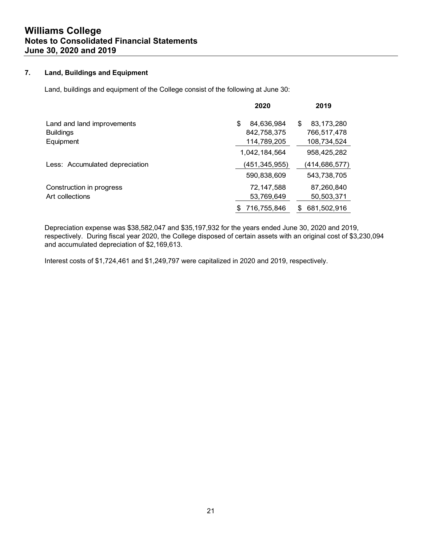## **7. Land, Buildings and Equipment**

Land, buildings and equipment of the College consist of the following at June 30:

| 2020             | 2019              |
|------------------|-------------------|
| 84,636,984<br>\$ | 83,173,280<br>\$  |
| 842,758,375      | 766,517,478       |
| 114,789,205      | 108,734,524       |
| 1,042,184,564    | 958,425,282       |
| (451,345,955)    | (414,686,577)     |
| 590,838,609      | 543,738,705       |
| 72,147,588       | 87,260,840        |
| 53,769,649       | 50,503,371        |
| 716,755,846      | 681,502,916<br>\$ |
|                  |                   |

Depreciation expense was \$38,582,047 and \$35,197,932 for the years ended June 30, 2020 and 2019, respectively. During fiscal year 2020, the College disposed of certain assets with an original cost of \$3,230,094 and accumulated depreciation of \$2,169,613.

Interest costs of \$1,724,461 and \$1,249,797 were capitalized in 2020 and 2019, respectively.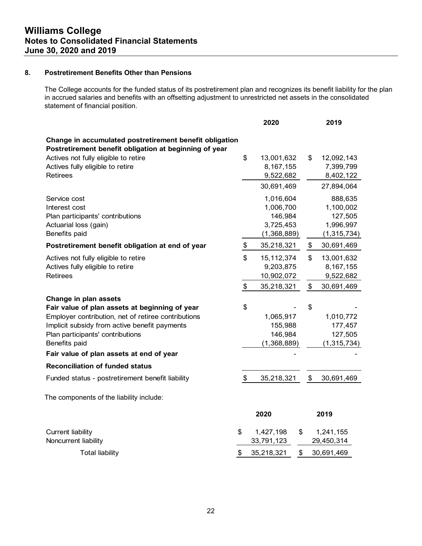## **8. Postretirement Benefits Other than Pensions**

The College accounts for the funded status of its postretirement plan and recognizes its benefit liability for the plan in accrued salaries and benefits with an offsetting adjustment to unrestricted net assets in the consolidated statement of financial position.

|                                                         |                           | 2020                    |    | 2019                    |
|---------------------------------------------------------|---------------------------|-------------------------|----|-------------------------|
| Change in accumulated postretirement benefit obligation |                           |                         |    |                         |
| Postretirement benefit obligation at beginning of year  |                           |                         |    |                         |
| Actives not fully eligible to retire                    | \$                        | 13,001,632              | \$ | 12,092,143              |
| Actives fully eligible to retire                        |                           | 8,167,155               |    | 7,399,799               |
| <b>Retirees</b>                                         |                           | 9,522,682               |    | 8,402,122               |
|                                                         |                           | 30,691,469              |    | 27,894,064              |
| Service cost                                            |                           | 1,016,604               |    | 888,635                 |
| Interest cost                                           |                           | 1,006,700               |    | 1,100,002               |
| Plan participants' contributions                        |                           | 146,984                 |    | 127,505                 |
| Actuarial loss (gain)                                   |                           | 3,725,453               |    | 1,996,997               |
| Benefits paid                                           |                           | (1,368,889)             |    | (1, 315, 734)           |
| Postretirement benefit obligation at end of year        | \$                        | 35,218,321              | \$ | 30,691,469              |
| Actives not fully eligible to retire                    | \$                        | 15, 112, 374            | \$ | 13,001,632              |
| Actives fully eligible to retire                        |                           | 9,203,875               |    | 8, 167, 155             |
| <b>Retirees</b>                                         |                           | 10,902,072              |    | 9,522,682               |
|                                                         | $\pmb{\$}$                | 35,218,321              | \$ | 30,691,469              |
| Change in plan assets                                   |                           |                         |    |                         |
| Fair value of plan assets at beginning of year          | \$                        |                         | \$ |                         |
| Employer contribution, net of retiree contributions     |                           | 1,065,917               |    | 1,010,772               |
| Implicit subsidy from active benefit payments           |                           | 155,988                 |    | 177,457                 |
| Plan participants' contributions                        |                           | 146,984                 |    | 127,505                 |
| Benefits paid                                           |                           | (1,368,889)             |    | (1, 315, 734)           |
| Fair value of plan assets at end of year                |                           |                         |    |                         |
| <b>Reconciliation of funded status</b>                  |                           |                         |    |                         |
| Funded status - postretirement benefit liability        | $\boldsymbol{\mathsf{S}}$ | 35,218,321              | \$ | 30,691,469              |
| The components of the liability include:                |                           |                         |    |                         |
|                                                         |                           | 2020                    |    | 2019                    |
|                                                         |                           |                         |    |                         |
| <b>Current liability</b><br>Noncurrent liability        | \$                        | 1,427,198<br>33,791,123 | \$ | 1,241,155<br>29,450,314 |
|                                                         |                           |                         |    |                         |
| <b>Total liability</b>                                  | \$                        | 35,218,321              | \$ | 30,691,469              |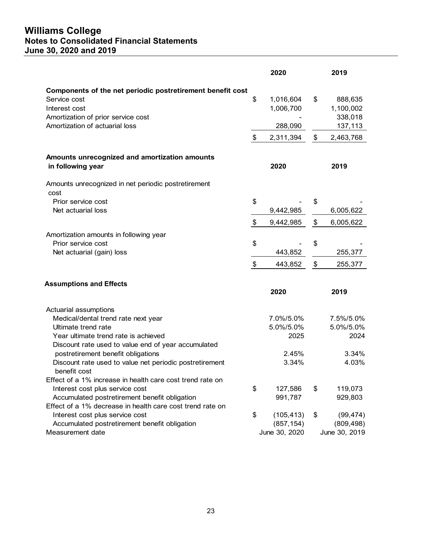# **Williams College Notes to Consolidated Financial Statements June 30, 2020 and 2019**

|                                                                            |                   | 2020          |                           | 2019          |
|----------------------------------------------------------------------------|-------------------|---------------|---------------------------|---------------|
|                                                                            |                   |               |                           |               |
| Components of the net periodic postretirement benefit cost<br>Service cost | \$                | 1,016,604     | \$                        | 888,635       |
| Interest cost                                                              |                   | 1,006,700     |                           | 1,100,002     |
| Amortization of prior service cost                                         |                   |               |                           | 338,018       |
| Amortization of actuarial loss                                             |                   | 288,090       |                           | 137,113       |
|                                                                            | \$                | 2,311,394     | $\boldsymbol{\mathsf{S}}$ | 2,463,768     |
|                                                                            |                   |               |                           |               |
| Amounts unrecognized and amortization amounts                              |                   |               |                           |               |
| in following year                                                          |                   | 2020          |                           | 2019          |
| Amounts unrecognized in net periodic postretirement                        |                   |               |                           |               |
| cost                                                                       |                   |               |                           |               |
| Prior service cost                                                         | \$                |               | \$                        |               |
| Net actuarial loss                                                         |                   | 9,442,985     |                           | 6,005,622     |
|                                                                            | \$                | 9,442,985     | \$                        | 6,005,622     |
| Amortization amounts in following year                                     |                   |               |                           |               |
| Prior service cost                                                         | \$                |               | \$                        |               |
| Net actuarial (gain) loss                                                  |                   | 443,852       |                           | 255,377       |
|                                                                            | $\boldsymbol{\$}$ | 443,852       | \$                        | 255,377       |
|                                                                            |                   |               |                           |               |
| <b>Assumptions and Effects</b>                                             |                   | 2020          |                           | 2019          |
|                                                                            |                   |               |                           |               |
| Actuarial assumptions                                                      |                   |               |                           |               |
| Medical/dental trend rate next year                                        |                   | 7.0%/5.0%     |                           | 7.5%/5.0%     |
| Ultimate trend rate                                                        |                   | 5.0%/5.0%     |                           | 5.0%/5.0%     |
| Year ultimate trend rate is achieved                                       |                   | 2025          |                           | 2024          |
| Discount rate used to value end of year accumulated                        |                   |               |                           |               |
| postretirement benefit obligations                                         |                   | 2.45%         |                           | 3.34%         |
| Discount rate used to value net periodic postretirement<br>benefit cost    |                   | 3.34%         |                           | 4.03%         |
| Effect of a 1% increase in health care cost trend rate on                  |                   |               |                           |               |
| Interest cost plus service cost                                            | \$                | 127,586       | \$                        | 119,073       |
| Accumulated postretirement benefit obligation                              |                   | 991,787       |                           | 929,803       |
| Effect of a 1% decrease in health care cost trend rate on                  |                   |               |                           |               |
| Interest cost plus service cost                                            | \$                | (105, 413)    | \$                        | (99, 474)     |
| Accumulated postretirement benefit obligation                              |                   | (857, 154)    |                           | (809, 498)    |
| Measurement date                                                           |                   | June 30, 2020 |                           | June 30, 2019 |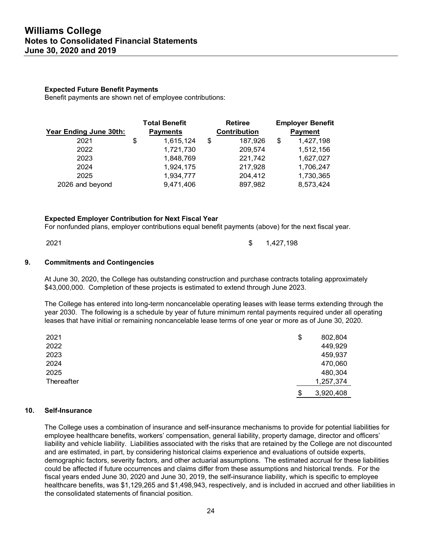#### **Expected Future Benefit Payments**

Benefit payments are shown net of employee contributions:

|                        | <b>Total Benefit</b> | <b>Retiree</b>      | <b>Employer Benefit</b> |
|------------------------|----------------------|---------------------|-------------------------|
| Year Ending June 30th: | <b>Payments</b>      | <b>Contribution</b> | <b>Payment</b>          |
| 2021                   | \$<br>1,615,124      | \$<br>187,926       | \$<br>1,427,198         |
| 2022                   | 1,721,730            | 209,574             | 1,512,156               |
| 2023                   | 1,848,769            | 221,742             | 1,627,027               |
| 2024                   | 1,924,175            | 217,928             | 1,706,247               |
| 2025                   | 1,934,777            | 204,412             | 1,730,365               |
| 2026 and beyond        | 9,471,406            | 897,982             | 8,573,424               |

#### **Expected Employer Contribution for Next Fiscal Year**

For nonfunded plans, employer contributions equal benefit payments (above) for the next fiscal year.

2021 **1,427,198 1,427,198** 

#### **9. Commitments and Contingencies**

At June 30, 2020, the College has outstanding construction and purchase contracts totaling approximately \$43,000,000. Completion of these projects is estimated to extend through June 2023.

The College has entered into long-term noncancelable operating leases with lease terms extending through the year 2030. The following is a schedule by year of future minimum rental payments required under all operating leases that have initial or remaining noncancelable lease terms of one year or more as of June 30, 2020.

| 2021       | \$<br>802,804   |
|------------|-----------------|
| 2022       | 449,929         |
| 2023       | 459,937         |
| 2024       | 470,060         |
| 2025       | 480,304         |
| Thereafter | 1,257,374       |
|            | \$<br>3,920,408 |

## **10. Self-Insurance**

The College uses a combination of insurance and self-insurance mechanisms to provide for potential liabilities for employee healthcare benefits, workers' compensation, general liability, property damage, director and officers' liability and vehicle liability. Liabilities associated with the risks that are retained by the College are not discounted and are estimated, in part, by considering historical claims experience and evaluations of outside experts, demographic factors, severity factors, and other actuarial assumptions. The estimated accrual for these liabilities could be affected if future occurrences and claims differ from these assumptions and historical trends. For the fiscal years ended June 30, 2020 and June 30, 2019, the self-insurance liability, which is specific to employee healthcare benefits, was \$1,129,265 and \$1,498,943, respectively, and is included in accrued and other liabilities in the consolidated statements of financial position.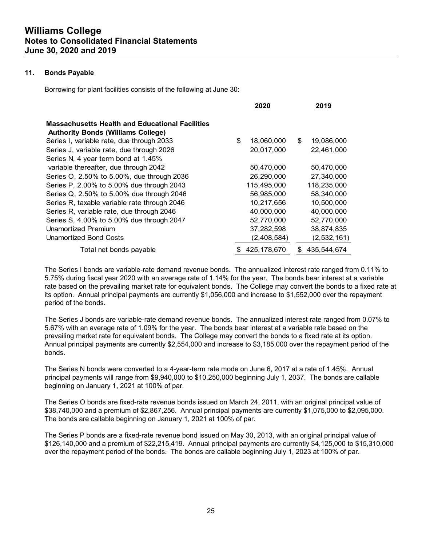## **11. Bonds Payable**

Borrowing for plant facilities consists of the following at June 30:

|                                                                                                     | ZUZU             | 20 I J           |
|-----------------------------------------------------------------------------------------------------|------------------|------------------|
| <b>Massachusetts Health and Educational Facilities</b><br><b>Authority Bonds (Williams College)</b> |                  |                  |
| Series I, variable rate, due through 2033                                                           | \$<br>18,060,000 | \$<br>19,086,000 |
| Series J, variable rate, due through 2026                                                           | 20,017,000       | 22,461,000       |
| Series N, 4 year term bond at 1.45%                                                                 |                  |                  |
| variable thereafter, due through 2042                                                               | 50,470,000       | 50,470,000       |
| Series O, 2.50% to 5.00%, due through 2036                                                          | 26.290.000       | 27,340,000       |
| Series P, 2.00% to 5.00% due through 2043                                                           | 115,495,000      | 118,235,000      |
| Series Q, 2.50% to 5.00% due through 2046                                                           | 56,985,000       | 58,340,000       |
| Series R, taxable variable rate through 2046                                                        | 10,217,656       | 10,500,000       |
| Series R, variable rate, due through 2046                                                           | 40,000,000       | 40,000,000       |
| Series S, 4.00% to 5.00% due through 2047                                                           | 52,770,000       | 52,770,000       |
| <b>Unamortized Premium</b>                                                                          | 37,282,598       | 38,874,835       |
| <b>Unamortized Bond Costs</b>                                                                       | (2,408,584)      | (2,532,161)      |
| Total net bonds payable                                                                             | 425.178.670      | 435.544.674<br>S |

The Series I bonds are variable-rate demand revenue bonds. The annualized interest rate ranged from 0.11% to 5.75% during fiscal year 2020 with an average rate of 1.14% for the year. The bonds bear interest at a variable rate based on the prevailing market rate for equivalent bonds. The College may convert the bonds to a fixed rate at its option. Annual principal payments are currently \$1,056,000 and increase to \$1,552,000 over the repayment period of the bonds.

**2020 2019**

The Series J bonds are variable-rate demand revenue bonds. The annualized interest rate ranged from 0.07% to 5.67% with an average rate of 1.09% for the year. The bonds bear interest at a variable rate based on the prevailing market rate for equivalent bonds. The College may convert the bonds to a fixed rate at its option. Annual principal payments are currently \$2,554,000 and increase to \$3,185,000 over the repayment period of the bonds.

The Series N bonds were converted to a 4-year-term rate mode on June 6, 2017 at a rate of 1.45%. Annual principal payments will range from \$9,940,000 to \$10,250,000 beginning July 1, 2037. The bonds are callable beginning on January 1, 2021 at 100% of par.

The Series O bonds are fixed-rate revenue bonds issued on March 24, 2011, with an original principal value of \$38,740,000 and a premium of \$2,867,256. Annual principal payments are currently \$1,075,000 to \$2,095,000. The bonds are callable beginning on January 1, 2021 at 100% of par.

The Series P bonds are a fixed-rate revenue bond issued on May 30, 2013, with an original principal value of \$126,140,000 and a premium of \$22,215,419. Annual principal payments are currently \$4,125,000 to \$15,310,000 over the repayment period of the bonds. The bonds are callable beginning July 1, 2023 at 100% of par.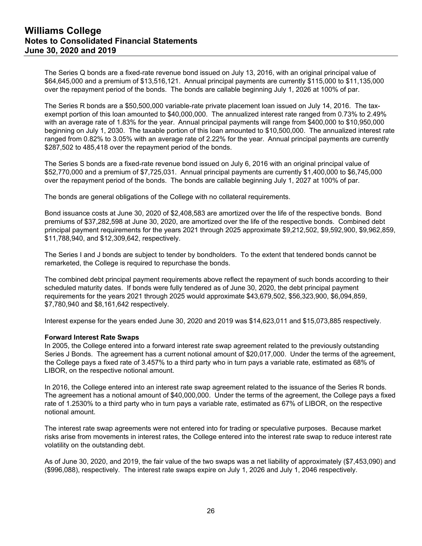The Series Q bonds are a fixed-rate revenue bond issued on July 13, 2016, with an original principal value of \$64,645,000 and a premium of \$13,516,121. Annual principal payments are currently \$115,000 to \$11,135,000 over the repayment period of the bonds. The bonds are callable beginning July 1, 2026 at 100% of par.

The Series R bonds are a \$50,500,000 variable-rate private placement loan issued on July 14, 2016. The taxexempt portion of this loan amounted to \$40,000,000. The annualized interest rate ranged from 0.73% to 2.49% with an average rate of 1.83% for the year.Annual principal payments will range from \$400,000 to \$10,950,000 beginning on July 1, 2030. The taxable portion of this loan amounted to \$10,500,000. The annualized interest rate ranged from 0.82% to 3.05% with an average rate of 2.22% for the year.Annual principal payments are currently \$287,502 to 485,418 over the repayment period of the bonds.

The Series S bonds are a fixed-rate revenue bond issued on July 6, 2016 with an original principal value of \$52,770,000 and a premium of \$7,725,031. Annual principal payments are currently \$1,400,000 to \$6,745,000 over the repayment period of the bonds. The bonds are callable beginning July 1, 2027 at 100% of par.

The bonds are general obligations of the College with no collateral requirements.

Bond issuance costs at June 30, 2020 of \$2,408,583 are amortized over the life of the respective bonds. Bond premiums of \$37,282,598 at June 30, 2020, are amortized over the life of the respective bonds. Combined debt principal payment requirements for the years 2021 through 2025 approximate \$9,212,502, \$9,592,900, \$9,962,859, \$11,788,940, and \$12,309,642, respectively.

The Series I and J bonds are subject to tender by bondholders. To the extent that tendered bonds cannot be remarketed, the College is required to repurchase the bonds.

The combined debt principal payment requirements above reflect the repayment of such bonds according to their scheduled maturity dates. If bonds were fully tendered as of June 30, 2020, the debt principal payment requirements for the years 2021 through 2025 would approximate \$43,679,502, \$56,323,900, \$6,094,859, \$7,780,940 and \$8,161,642 respectively.

Interest expense for the years ended June 30, 2020 and 2019 was \$14,623,011 and \$15,073,885 respectively.

#### **Forward Interest Rate Swaps**

In 2005, the College entered into a forward interest rate swap agreement related to the previously outstanding Series J Bonds. The agreement has a current notional amount of \$20,017,000. Under the terms of the agreement, the College pays a fixed rate of 3.457% to a third party who in turn pays a variable rate, estimated as 68% of LIBOR, on the respective notional amount.

In 2016, the College entered into an interest rate swap agreement related to the issuance of the Series R bonds. The agreement has a notional amount of \$40,000,000. Under the terms of the agreement, the College pays a fixed rate of 1.2530% to a third party who in turn pays a variable rate, estimated as 67% of LIBOR, on the respective notional amount.

The interest rate swap agreements were not entered into for trading or speculative purposes. Because market risks arise from movements in interest rates, the College entered into the interest rate swap to reduce interest rate volatility on the outstanding debt.

As of June 30, 2020, and 2019, the fair value of the two swaps was a net liability of approximately (\$7,453,090) and (\$996,088), respectively. The interest rate swaps expire on July 1, 2026 and July 1, 2046 respectively.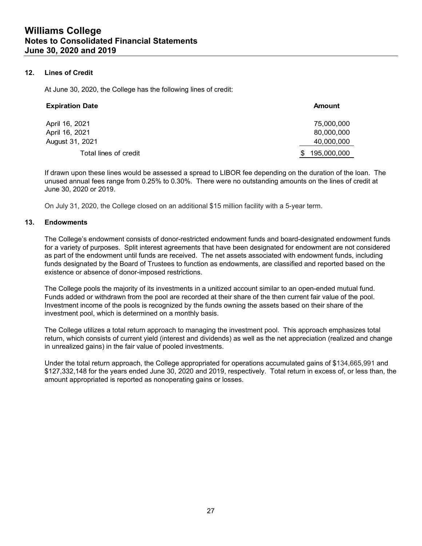## **12. Lines of Credit**

At June 30, 2020, the College has the following lines of credit:

| <b>Expiration Date</b> | <b>Amount</b>     |
|------------------------|-------------------|
| April 16, 2021         | 75,000,000        |
| April 16, 2021         | 80,000,000        |
| August 31, 2021        | 40,000,000        |
| Total lines of credit  | 195,000,000<br>S. |

If drawn upon these lines would be assessed a spread to LIBOR fee depending on the duration of the loan. The unused annual fees range from 0.25% to 0.30%. There were no outstanding amounts on the lines of credit at June 30, 2020 or 2019.

On July 31, 2020, the College closed on an additional \$15 million facility with a 5-year term.

## **13. Endowments**

The College's endowment consists of donor-restricted endowment funds and board-designated endowment funds for a variety of purposes. Split interest agreements that have been designated for endowment are not considered as part of the endowment until funds are received. The net assets associated with endowment funds, including funds designated by the Board of Trustees to function as endowments, are classified and reported based on the existence or absence of donor-imposed restrictions.

The College pools the majority of its investments in a unitized account similar to an open-ended mutual fund. Funds added or withdrawn from the pool are recorded at their share of the then current fair value of the pool. Investment income of the pools is recognized by the funds owning the assets based on their share of the investment pool, which is determined on a monthly basis.

The College utilizes a total return approach to managing the investment pool. This approach emphasizes total return, which consists of current yield (interest and dividends) as well as the net appreciation (realized and change in unrealized gains) in the fair value of pooled investments.

Under the total return approach, the College appropriated for operations accumulated gains of \$134,665,991 and \$127,332,148 for the years ended June 30, 2020 and 2019, respectively. Total return in excess of, or less than, the amount appropriated is reported as nonoperating gains or losses.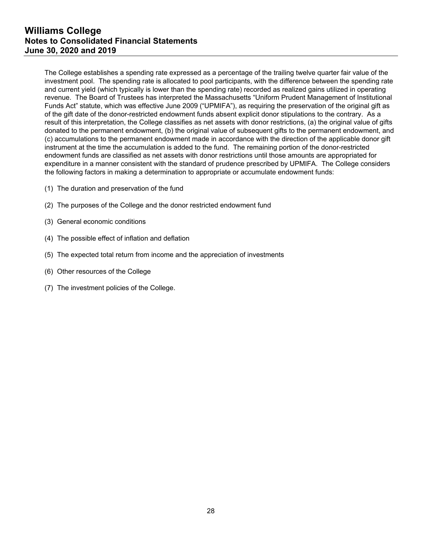The College establishes a spending rate expressed as a percentage of the trailing twelve quarter fair value of the investment pool. The spending rate is allocated to pool participants, with the difference between the spending rate and current yield (which typically is lower than the spending rate) recorded as realized gains utilized in operating revenue. The Board of Trustees has interpreted the Massachusetts "Uniform Prudent Management of Institutional Funds Act" statute, which was effective June 2009 ("UPMIFA"), as requiring the preservation of the original gift as of the gift date of the donor-restricted endowment funds absent explicit donor stipulations to the contrary. As a result of this interpretation, the College classifies as net assets with donor restrictions, (a) the original value of gifts donated to the permanent endowment, (b) the original value of subsequent gifts to the permanent endowment, and (c) accumulations to the permanent endowment made in accordance with the direction of the applicable donor gift instrument at the time the accumulation is added to the fund. The remaining portion of the donor-restricted endowment funds are classified as net assets with donor restrictions until those amounts are appropriated for expenditure in a manner consistent with the standard of prudence prescribed by UPMIFA. The College considers the following factors in making a determination to appropriate or accumulate endowment funds:

- (1) The duration and preservation of the fund
- (2) The purposes of the College and the donor restricted endowment fund
- (3) General economic conditions
- (4) The possible effect of inflation and deflation
- (5) The expected total return from income and the appreciation of investments
- (6) Other resources of the College
- (7) The investment policies of the College.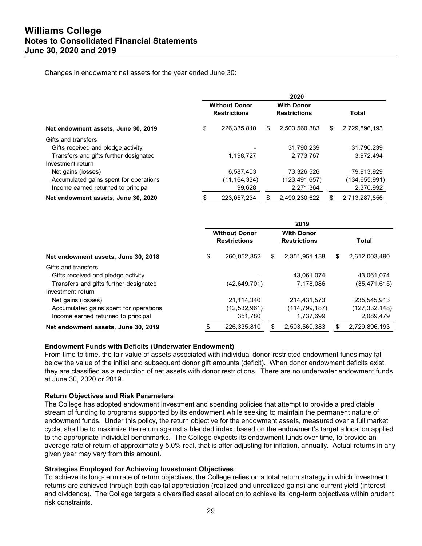Changes in endowment net assets for the year ended June 30:

|                                        | 2020                                        |                |                                          |                 |       |               |
|----------------------------------------|---------------------------------------------|----------------|------------------------------------------|-----------------|-------|---------------|
|                                        | <b>Without Donor</b><br><b>Restrictions</b> |                | <b>With Donor</b><br><b>Restrictions</b> |                 | Total |               |
| Net endowment assets, June 30, 2019    | \$                                          | 226,335,810    | S.                                       | 2,503,560,383   | \$    | 2,729,896,193 |
| Gifts and transfers                    |                                             |                |                                          |                 |       |               |
| Gifts received and pledge activity     |                                             |                |                                          | 31,790,239      |       | 31,790,239    |
| Transfers and gifts further designated |                                             | 1,198,727      |                                          | 2,773,767       |       | 3,972,494     |
| Investment return                      |                                             |                |                                          |                 |       |               |
| Net gains (losses)                     |                                             | 6,587,403      |                                          | 73,326,526      |       | 79,913,929    |
| Accumulated gains spent for operations |                                             | (11, 164, 334) |                                          | (123, 491, 657) |       | (134,655,991) |
| Income earned returned to principal    |                                             | 99,628         |                                          | 2,271,364       |       | 2,370,992     |
| Net endowment assets, June 30, 2020    |                                             | 223.057.234    | S                                        | 2.490.230.622   |       | 2.713.287.856 |

|                                        | 2019                                        |                |                                          |                 |              |                |
|----------------------------------------|---------------------------------------------|----------------|------------------------------------------|-----------------|--------------|----------------|
|                                        | <b>Without Donor</b><br><b>Restrictions</b> |                | <b>With Donor</b><br><b>Restrictions</b> |                 | <b>Total</b> |                |
| Net endowment assets, June 30, 2018    | \$                                          | 260,052,352    | S                                        | 2,351,951,138   | \$           | 2,612,003,490  |
| Gifts and transfers                    |                                             |                |                                          |                 |              |                |
| Gifts received and pledge activity     |                                             |                |                                          | 43.061.074      |              | 43.061.074     |
| Transfers and gifts further designated |                                             | (42,649,701)   |                                          | 7.178.086       |              | (35, 471, 615) |
| Investment return                      |                                             |                |                                          |                 |              |                |
| Net gains (losses)                     |                                             | 21.114.340     |                                          | 214.431.573     |              | 235,545,913    |
| Accumulated gains spent for operations |                                             | (12, 532, 961) |                                          | (114, 799, 187) |              | (127,332,148)  |
| Income earned returned to principal    |                                             | 351,780        |                                          | 1,737,699       |              | 2,089,479      |
| Net endowment assets, June 30, 2019    |                                             | 226,335,810    |                                          | 2,503,560,383   |              | 2,729,896,193  |

## **Endowment Funds with Deficits (Underwater Endowment)**

From time to time, the fair value of assets associated with individual donor-restricted endowment funds may fall below the value of the initial and subsequent donor gift amounts (deficit). When donor endowment deficits exist, they are classified as a reduction of net assets with donor restrictions. There are no underwater endowment funds at June 30, 2020 or 2019.

#### **Return Objectives and Risk Parameters**

The College has adopted endowment investment and spending policies that attempt to provide a predictable stream of funding to programs supported by its endowment while seeking to maintain the permanent nature of endowment funds. Under this policy, the return objective for the endowment assets, measured over a full market cycle, shall be to maximize the return against a blended index, based on the endowment's target allocation applied to the appropriate individual benchmarks. The College expects its endowment funds over time, to provide an average rate of return of approximately 5.0% real, that is after adjusting for inflation, annually. Actual returns in any given year may vary from this amount.

#### **Strategies Employed for Achieving Investment Objectives**

To achieve its long-term rate of return objectives, the College relies on a total return strategy in which investment returns are achieved through both capital appreciation (realized and unrealized gains) and current yield (interest and dividends). The College targets a diversified asset allocation to achieve its long-term objectives within prudent risk constraints.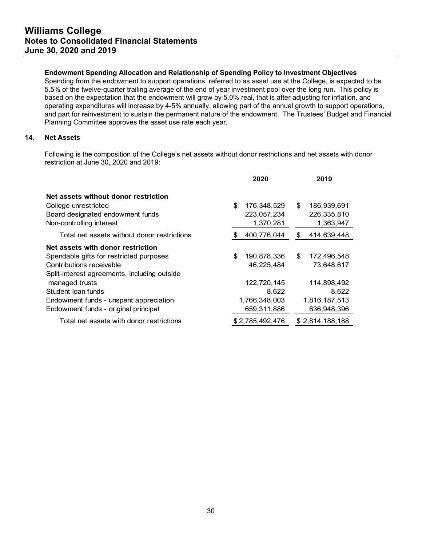## **Endowment Spending Allocation and Relationship of Spending Policy to Investment Objectives**

Spending from the endowment to support operations, referred to as asset use at the College, is expected to be 5.5% of the twelve-quarter trailing average of the end of year investment pool over the long run. This policy is based on the expectation that the endowment will grow by 5.0% real, that is after adjusting for inflation, and operating expenditures will increase by 4-5% annually, allowing part of the annual growth to support operations, and part for reinvestment to sustain the permanent nature of the endowment. The Trustees' Budget and Financial Planning Committee approves the asset use rate each year.

## **14. Net Assets**

Following is the composition of the College's net assets without donor restrictions and net assets with donor restriction at June 30, 2020 and 2019:

|                                              | 2020              | 2019              |
|----------------------------------------------|-------------------|-------------------|
| Net assets without donor restriction         |                   |                   |
| College unrestricted                         | \$<br>176,348,529 | \$<br>186,939,691 |
| Board designated endowment funds             | 223,057,234       | 226,335,810       |
| Non-controlling interest                     | 1,370,281         | 1,363,947         |
| Total net assets without donor restrictions  | 400,776,044<br>S  | 414,639,448<br>\$ |
| Net assets with donor restriction            |                   |                   |
| Spendable gifts for restricted purposes      | \$<br>190,878,336 | \$<br>172,496,548 |
| Contributions receivable                     | 46.225.484        | 73.648.617        |
| Split-interest agreements, including outside |                   |                   |
| managed trusts                               | 122,720,145       | 114,898,492       |
| Student loan funds                           | 8,622             | 8.622             |
| Endowment funds - unspent appreciation       | 1,766,348,003     | 1,816,187,513     |
| Endowment funds - original principal         | 659,311,886       | 636.948.396       |
| Total net assets with donor restrictions     | \$2,785,492,476   | \$2,814,188,188   |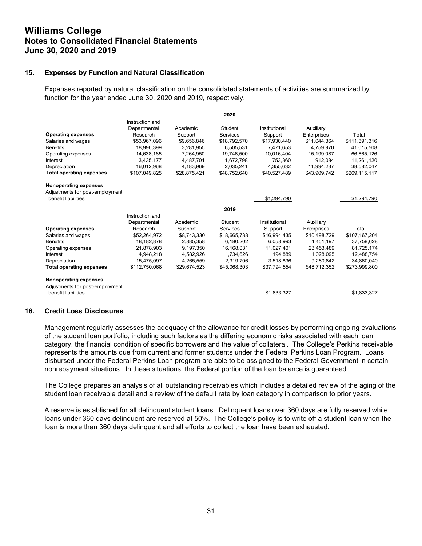#### **15. Expenses by Function and Natural Classification**

Expenses reported by natural classification on the consolidated statements of activities are summarized by function for the year ended June 30, 2020 and 2019, respectively.

|                                 |                 |              | 2020         |               |              |               |
|---------------------------------|-----------------|--------------|--------------|---------------|--------------|---------------|
|                                 | Instruction and |              |              |               |              |               |
|                                 | Departmental    | Academic     | Student      | Institutional | Auxiliary    |               |
| <b>Operating expenses</b>       | Research        | Support      | Services     | Support       | Enterprises  | Total         |
| Salaries and wages              | \$53.967.096    | \$9.656.846  | \$18,792,570 | \$17.930.440  | \$11.044.364 | \$111,391,316 |
| <b>Benefits</b>                 | 18,996,399      | 3,281,955    | 6,505,531    | 7,471,653     | 4,759,970    | 41,015,508    |
| Operating expenses              | 14,638,185      | 7,264,950    | 19,746,500   | 10.016.404    | 15,199,087   | 66,865,126    |
| Interest                        | 3.435.177       | 4.487.701    | 1.672.798    | 753.360       | 912.084      | 11,261,120    |
| Depreciation                    | 16,012,968      | 4,183,969    | 2,035,241    | 4,355,632     | 11,994,237   | 38,582,047    |
| <b>Total operating expenses</b> | \$107,049,825   | \$28,875,421 | \$48,752,640 | \$40,527,489  | \$43,909,742 | \$269,115,117 |
| Nonoperating expenses           |                 |              |              |               |              |               |
| Adjustments for post-employment |                 |              |              |               |              |               |
| benefit liabilities             |                 |              |              | \$1,294,790   |              | \$1,294,790   |
|                                 |                 |              | 2019         |               |              |               |
|                                 | Instruction and |              |              |               |              |               |
|                                 | Departmental    | Academic     | Student      | Institutional | Auxiliary    |               |
| <b>Operating expenses</b>       | Research        | Support      | Services     | Support       | Enterprises  | Total         |
| Salaries and wages              | \$52,264,972    | \$8,743,330  | \$18,665,738 | \$16,994,435  | \$10.498.729 | \$107,167,204 |
| <b>Benefits</b>                 | 18, 182, 878    | 2,885,358    | 6,180,202    | 6,058,993     | 4,451,197    | 37,758,628    |
| Operating expenses              | 21,878,903      | 9,197,350    | 16,168,031   | 11,027,401    | 23,453,489   | 81,725,174    |
| Interest                        | 4.948.218       | 4,582,926    | 1,734,626    | 194.889       | 1.028.095    | 12,488,754    |
| Depreciation                    | 15,475,097      | 4,265,559    | 2,319,706    | 3,518,836     | 9,280,842    | 34,860,040    |
| <b>Total operating expenses</b> | \$112,750,068   | \$29,674,523 | \$45,068,303 | \$37,794,554  | \$48,712,352 | \$273,999,800 |
| Nonoperating expenses           |                 |              |              |               |              |               |
| Adjustments for post-employment |                 |              |              |               |              |               |
| benefit liabilities             |                 |              |              | \$1,833,327   |              | \$1,833,327   |
|                                 |                 |              |              |               |              |               |

#### **16. Credit Loss Disclosures**

Management regularly assesses the adequacy of the allowance for credit losses by performing ongoing evaluations of the student loan portfolio, including such factors as the differing economic risks associated with each loan category, the financial condition of specific borrowers and the value of collateral. The College's Perkins receivable represents the amounts due from current and former students under the Federal Perkins Loan Program. Loans disbursed under the Federal Perkins Loan program are able to be assigned to the Federal Government in certain nonrepayment situations. In these situations, the Federal portion of the loan balance is guaranteed.

The College prepares an analysis of all outstanding receivables which includes a detailed review of the aging of the student loan receivable detail and a review of the default rate by loan category in comparison to prior years.

A reserve is established for all delinquent student loans. Delinquent loans over 360 days are fully reserved while loans under 360 days delinquent are reserved at 50%. The College's policy is to write off a student loan when the loan is more than 360 days delinquent and all efforts to collect the loan have been exhausted.